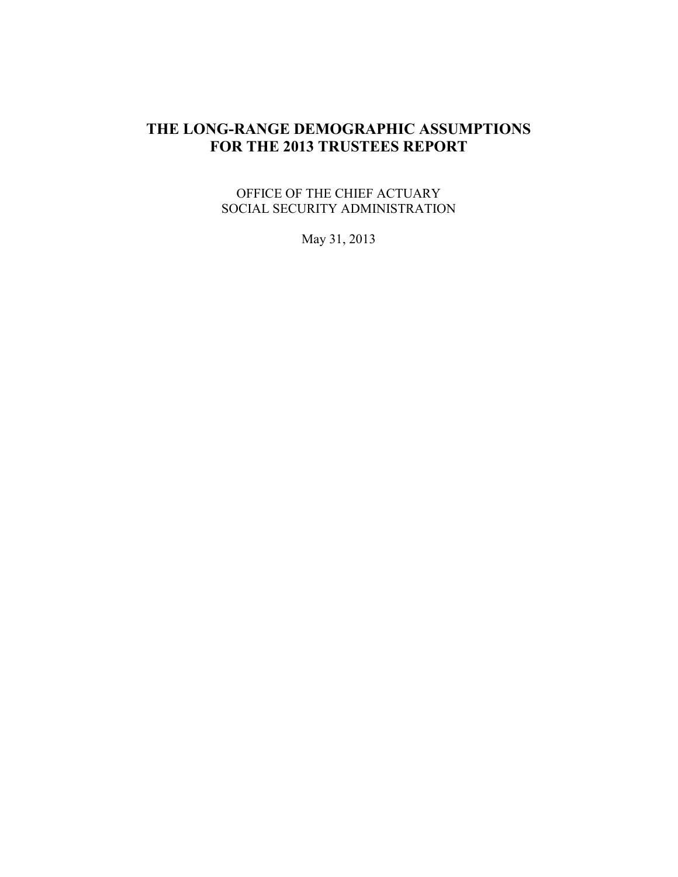## **THE LONG-RANGE DEMOGRAPHIC ASSUMPTIONS FOR THE 2013 TRUSTEES REPORT**

OFFICE OF THE CHIEF ACTUARY SOCIAL SECURITY ADMINISTRATION

May 31, 2013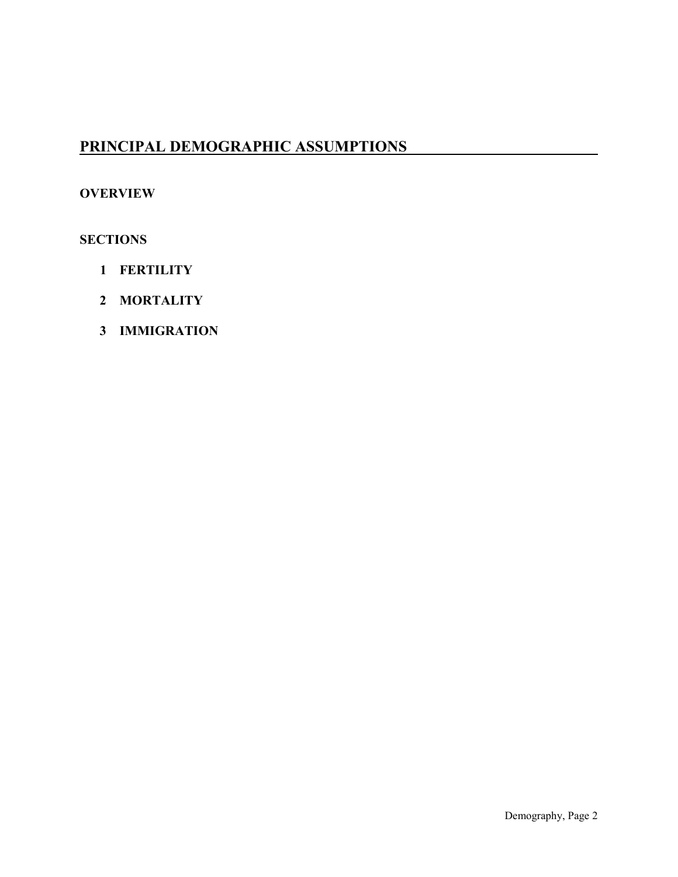# **PRINCIPAL DEMOGRAPHIC ASSUMPTIONS**

#### **OVERVIEW**

#### **SECTIONS**

- **1 FERTILITY**
- **2 MORTALITY**
- **3 IMMIGRATION**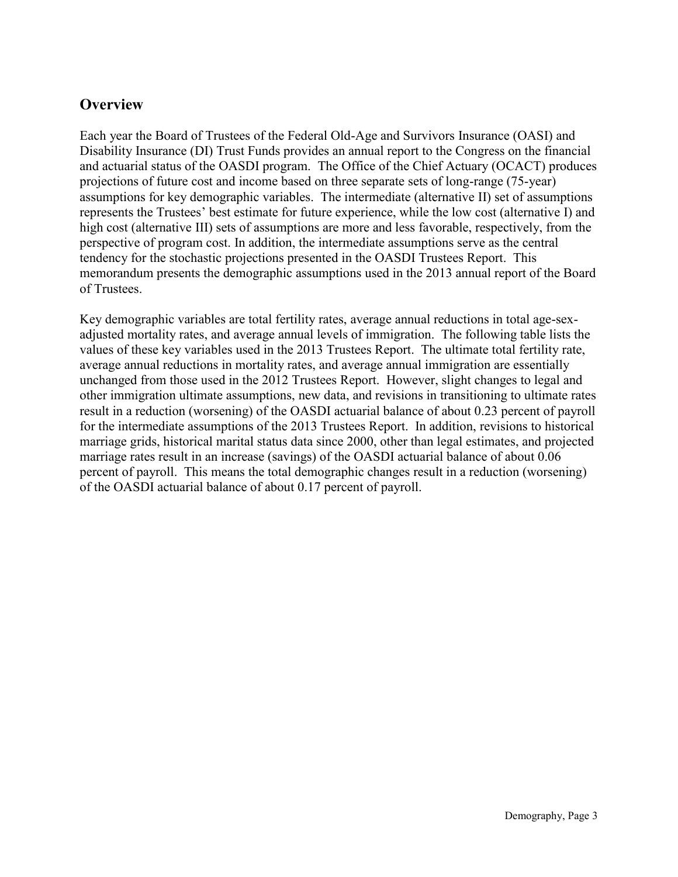### **Overview**

Each year the Board of Trustees of the Federal Old-Age and Survivors Insurance (OASI) and Disability Insurance (DI) Trust Funds provides an annual report to the Congress on the financial and actuarial status of the OASDI program. The Office of the Chief Actuary (OCACT) produces projections of future cost and income based on three separate sets of long-range (75-year) assumptions for key demographic variables. The intermediate (alternative II) set of assumptions represents the Trustees' best estimate for future experience, while the low cost (alternative I) and high cost (alternative III) sets of assumptions are more and less favorable, respectively, from the perspective of program cost. In addition, the intermediate assumptions serve as the central tendency for the stochastic projections presented in the OASDI Trustees Report. This memorandum presents the demographic assumptions used in the 2013 annual report of the Board of Trustees.

Key demographic variables are total fertility rates, average annual reductions in total age-sexadjusted mortality rates, and average annual levels of immigration. The following table lists the values of these key variables used in the 2013 Trustees Report. The ultimate total fertility rate, average annual reductions in mortality rates, and average annual immigration are essentially unchanged from those used in the 2012 Trustees Report. However, slight changes to legal and other immigration ultimate assumptions, new data, and revisions in transitioning to ultimate rates result in a reduction (worsening) of the OASDI actuarial balance of about 0.23 percent of payroll for the intermediate assumptions of the 2013 Trustees Report. In addition, revisions to historical marriage grids, historical marital status data since 2000, other than legal estimates, and projected marriage rates result in an increase (savings) of the OASDI actuarial balance of about 0.06 percent of payroll. This means the total demographic changes result in a reduction (worsening) of the OASDI actuarial balance of about 0.17 percent of payroll.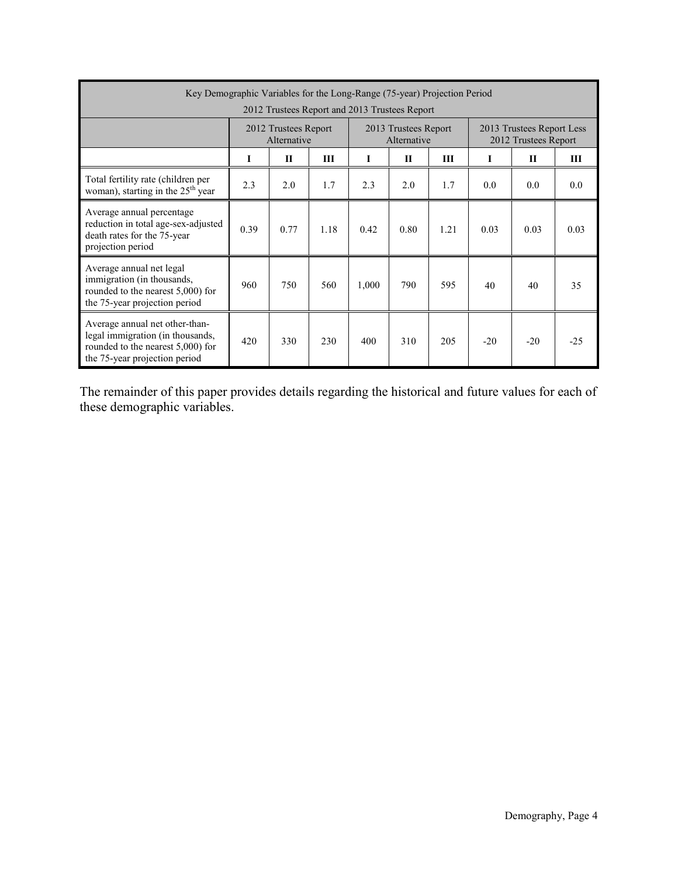| Key Demographic Variables for the Long-Range (75-year) Projection Period                                                                 |                                               |                                     |      |       |                                     |      |       |                                                   |       |  |  |  |
|------------------------------------------------------------------------------------------------------------------------------------------|-----------------------------------------------|-------------------------------------|------|-------|-------------------------------------|------|-------|---------------------------------------------------|-------|--|--|--|
|                                                                                                                                          | 2012 Trustees Report and 2013 Trustees Report |                                     |      |       |                                     |      |       |                                                   |       |  |  |  |
|                                                                                                                                          |                                               | 2012 Trustees Report<br>Alternative |      |       | 2013 Trustees Report<br>Alternative |      |       | 2013 Trustees Report Less<br>2012 Trustees Report |       |  |  |  |
|                                                                                                                                          | I                                             | $\mathbf{H}$                        | Ш    | Т     | $\mathbf{H}$                        | Ш    | L     | $\mathbf{H}$                                      | Ш     |  |  |  |
| Total fertility rate (children per<br>woman), starting in the $25th$ year                                                                | 2.3                                           | 2.0                                 | 1.7  | 2.3   | 2.0                                 | 1.7  | 0.0   | 0.0                                               | 0.0   |  |  |  |
| Average annual percentage<br>reduction in total age-sex-adjusted<br>death rates for the 75-year<br>projection period                     | 0.39                                          | 0.77                                | 1.18 | 0.42  | 0.80                                | 1.21 | 0.03  | 0.03                                              | 0.03  |  |  |  |
| Average annual net legal<br>immigration (in thousands,<br>rounded to the nearest 5,000) for<br>the 75-year projection period             | 960                                           | 750                                 | 560  | 1,000 | 790                                 | 595  | 40    | 40                                                | 35    |  |  |  |
| Average annual net other-than-<br>legal immigration (in thousands,<br>rounded to the nearest 5,000) for<br>the 75-year projection period | 420                                           | 330                                 | 230  | 400   | 310                                 | 205  | $-20$ | $-20$                                             | $-25$ |  |  |  |

The remainder of this paper provides details regarding the historical and future values for each of these demographic variables.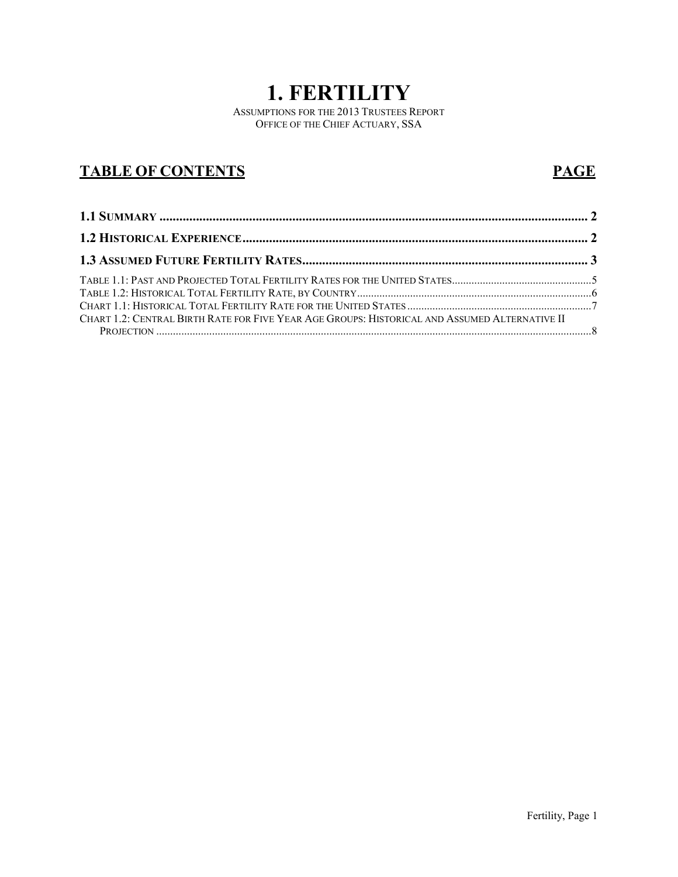# **1. FERTILITY**

ASSUMPTIONS FOR THE 2013 TRUSTEES REPORT OFFICE OF THE CHIEF ACTUARY, SSA

# **TABLE OF CONTENTS PAGE**

| CHART 1.2: CENTRAL BIRTH RATE FOR FIVE YEAR AGE GROUPS: HISTORICAL AND ASSUMED ALTERNATIVE II |  |
|-----------------------------------------------------------------------------------------------|--|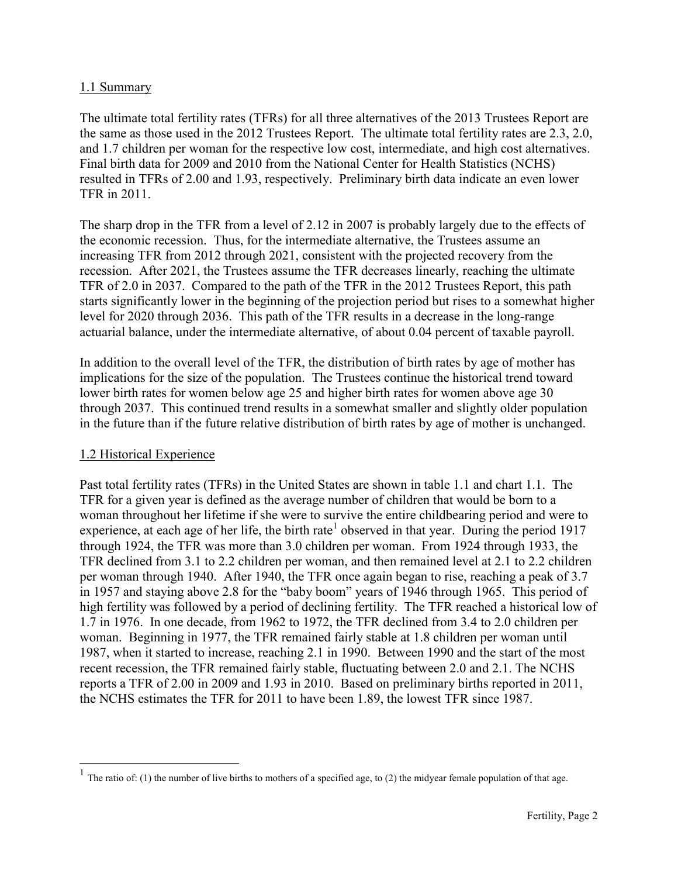#### <span id="page-5-0"></span>1.1 Summary

The ultimate total fertility rates (TFRs) for all three alternatives of the 2013 Trustees Report are the same as those used in the 2012 Trustees Report. The ultimate total fertility rates are 2.3, 2.0, and 1.7 children per woman for the respective low cost, intermediate, and high cost alternatives. Final birth data for 2009 and 2010 from the National Center for Health Statistics (NCHS) resulted in TFRs of 2.00 and 1.93, respectively. Preliminary birth data indicate an even lower TFR in 2011.

The sharp drop in the TFR from a level of 2.12 in 2007 is probably largely due to the effects of the economic recession. Thus, for the intermediate alternative, the Trustees assume an increasing TFR from 2012 through 2021, consistent with the projected recovery from the recession. After 2021, the Trustees assume the TFR decreases linearly, reaching the ultimate TFR of 2.0 in 2037. Compared to the path of the TFR in the 2012 Trustees Report, this path starts significantly lower in the beginning of the projection period but rises to a somewhat higher level for 2020 through 2036. This path of the TFR results in a decrease in the long-range actuarial balance, under the intermediate alternative, of about 0.04 percent of taxable payroll.

In addition to the overall level of the TFR, the distribution of birth rates by age of mother has implications for the size of the population. The Trustees continue the historical trend toward lower birth rates for women below age 25 and higher birth rates for women above age 30 through 2037. This continued trend results in a somewhat smaller and slightly older population in the future than if the future relative distribution of birth rates by age of mother is unchanged.

#### <span id="page-5-1"></span>1.2 Historical Experience

 $\overline{a}$ 

Past total fertility rates (TFRs) in the United States are shown in table 1.1 and chart 1.1. The TFR for a given year is defined as the average number of children that would be born to a woman throughout her lifetime if she were to survive the entire childbearing period and were to experience, at each age of her life, the birth rate<sup>1</sup> observed in that year. During the period 1917 through 1924, the TFR was more than 3.0 children per woman. From 1924 through 1933, the TFR declined from 3.1 to 2.2 children per woman, and then remained level at 2.1 to 2.2 children per woman through 1940. After 1940, the TFR once again began to rise, reaching a peak of 3.7 in 1957 and staying above 2.8 for the "baby boom" years of 1946 through 1965. This period of high fertility was followed by a period of declining fertility. The TFR reached a historical low of 1.7 in 1976. In one decade, from 1962 to 1972, the TFR declined from 3.4 to 2.0 children per woman. Beginning in 1977, the TFR remained fairly stable at 1.8 children per woman until 1987, when it started to increase, reaching 2.1 in 1990. Between 1990 and the start of the most recent recession, the TFR remained fairly stable, fluctuating between 2.0 and 2.1. The NCHS reports a TFR of 2.00 in 2009 and 1.93 in 2010. Based on preliminary births reported in 2011, the NCHS estimates the TFR for 2011 to have been 1.89, the lowest TFR since 1987.

<sup>&</sup>lt;sup>1</sup> The ratio of: (1) the number of live births to mothers of a specified age, to (2) the midyear female population of that age.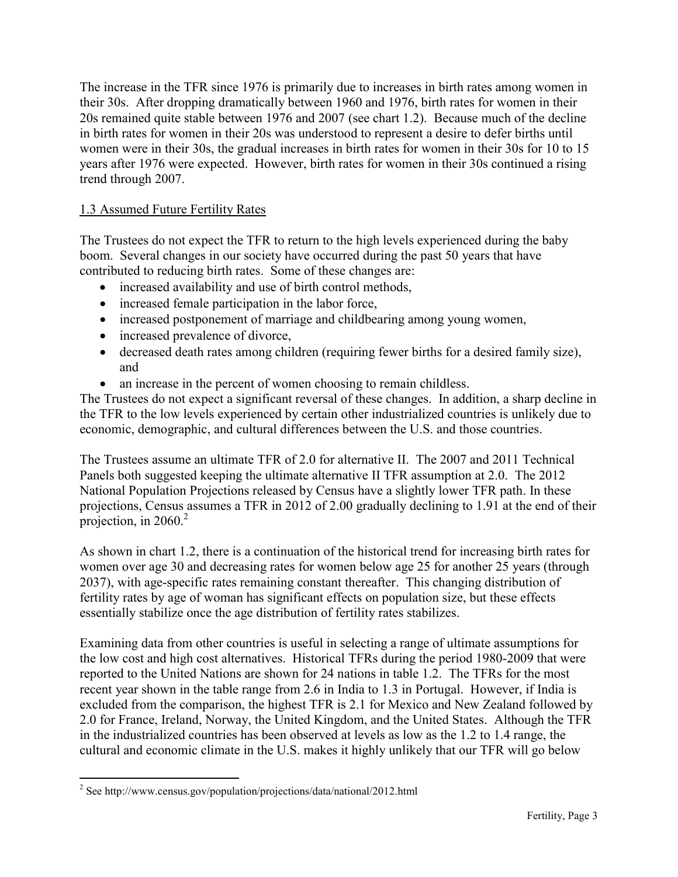The increase in the TFR since 1976 is primarily due to increases in birth rates among women in their 30s. After dropping dramatically between 1960 and 1976, birth rates for women in their 20s remained quite stable between 1976 and 2007 (see chart 1.2). Because much of the decline in birth rates for women in their 20s was understood to represent a desire to defer births until women were in their 30s, the gradual increases in birth rates for women in their 30s for 10 to 15 years after 1976 were expected. However, birth rates for women in their 30s continued a rising trend through 2007.

#### <span id="page-6-0"></span>1.3 Assumed Future Fertility Rates

The Trustees do not expect the TFR to return to the high levels experienced during the baby boom. Several changes in our society have occurred during the past 50 years that have contributed to reducing birth rates. Some of these changes are:

- increased availability and use of birth control methods,
- increased female participation in the labor force,
- increased postponement of marriage and childbearing among young women,
- increased prevalence of divorce,
- decreased death rates among children (requiring fewer births for a desired family size), and
- an increase in the percent of women choosing to remain childless.

The Trustees do not expect a significant reversal of these changes. In addition, a sharp decline in the TFR to the low levels experienced by certain other industrialized countries is unlikely due to economic, demographic, and cultural differences between the U.S. and those countries.

The Trustees assume an ultimate TFR of 2.0 for alternative II. The 2007 and 2011 Technical Panels both suggested keeping the ultimate alternative II TFR assumption at 2.0. The 2012 National Population Projections released by Census have a slightly lower TFR path. In these projections, Census assumes a TFR in 2012 of 2.00 gradually declining to 1.91 at the end of their projection, in  $2060^2$ 

As shown in chart 1.2, there is a continuation of the historical trend for increasing birth rates for women over age 30 and decreasing rates for women below age 25 for another 25 years (through 2037), with age-specific rates remaining constant thereafter. This changing distribution of fertility rates by age of woman has significant effects on population size, but these effects essentially stabilize once the age distribution of fertility rates stabilizes.

Examining data from other countries is useful in selecting a range of ultimate assumptions for the low cost and high cost alternatives. Historical TFRs during the period 1980-2009 that were reported to the United Nations are shown for 24 nations in table 1.2. The TFRs for the most recent year shown in the table range from 2.6 in India to 1.3 in Portugal. However, if India is excluded from the comparison, the highest TFR is 2.1 for Mexico and New Zealand followed by 2.0 for France, Ireland, Norway, the United Kingdom, and the United States. Although the TFR in the industrialized countries has been observed at levels as low as the 1.2 to 1.4 range, the cultural and economic climate in the U.S. makes it highly unlikely that our TFR will go below

 $\overline{a}$ <sup>2</sup> See http://www.census.gov/population/projections/data/national/2012.html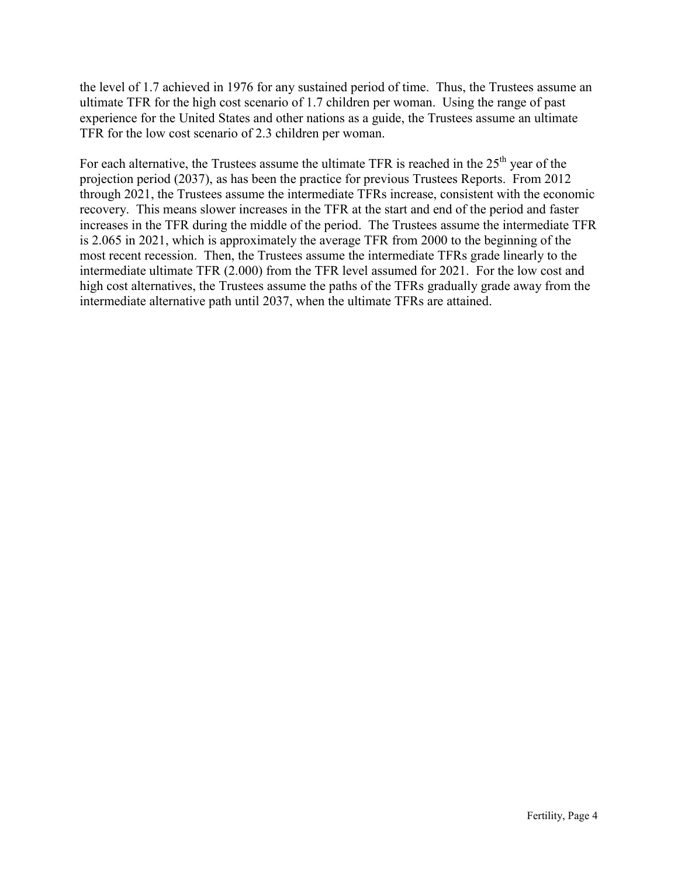the level of 1.7 achieved in 1976 for any sustained period of time. Thus, the Trustees assume an ultimate TFR for the high cost scenario of 1.7 children per woman. Using the range of past experience for the United States and other nations as a guide, the Trustees assume an ultimate TFR for the low cost scenario of 2.3 children per woman.

For each alternative, the Trustees assume the ultimate TFR is reached in the  $25<sup>th</sup>$  year of the projection period (2037), as has been the practice for previous Trustees Reports. From 2012 through 2021, the Trustees assume the intermediate TFRs increase, consistent with the economic recovery. This means slower increases in the TFR at the start and end of the period and faster increases in the TFR during the middle of the period. The Trustees assume the intermediate TFR is 2.065 in 2021, which is approximately the average TFR from 2000 to the beginning of the most recent recession. Then, the Trustees assume the intermediate TFRs grade linearly to the intermediate ultimate TFR (2.000) from the TFR level assumed for 2021. For the low cost and high cost alternatives, the Trustees assume the paths of the TFRs gradually grade away from the intermediate alternative path until 2037, when the ultimate TFRs are attained.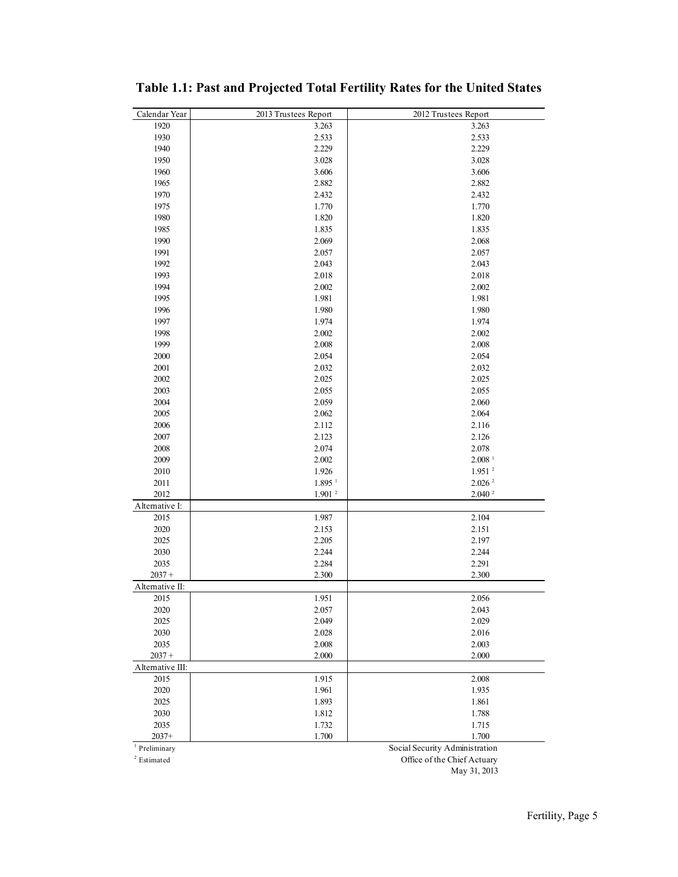| Calendar Year              | 2013 Trustees Report          | 2012 Trustees Report                         |
|----------------------------|-------------------------------|----------------------------------------------|
| 1920                       | 3.263                         | 3.263                                        |
| 1930                       | 2.533                         | 2.533                                        |
| 1940                       | 2.229                         | 2.229                                        |
| 1950                       | 3.028                         | 3.028                                        |
| 1960                       | 3.606                         | 3.606                                        |
| 1965                       | 2.882                         | 2.882                                        |
| 1970                       | 2.432                         | 2.432                                        |
| 1975                       | 1.770                         | 1.770                                        |
| 1980                       | 1.820                         | 1.820                                        |
| 1985                       | 1.835                         | 1.835                                        |
| 1990                       | 2.069                         | 2.068                                        |
| 1991                       | 2.057                         | 2.057                                        |
| 1992                       | 2.043                         | 2.043                                        |
| 1993                       | 2.018                         | 2.018                                        |
| 1994                       | 2.002                         | 2.002                                        |
| 1995                       | 1.981                         | 1.981                                        |
| 1996                       | 1.980                         | 1.980                                        |
| 1997                       | 1.974                         | 1.974                                        |
| 1998                       | 2.002                         | 2.002                                        |
| 1999                       | 2.008                         | 2.008                                        |
| 2000                       | 2.054                         | 2.054                                        |
| 2001                       | 2.032                         | 2.032                                        |
|                            |                               |                                              |
| 2002<br>2003               | 2.025<br>2.055                | 2.025<br>2.055                               |
|                            |                               | 2.060                                        |
| 2004                       | 2.059<br>2.062                |                                              |
| 2005<br>2006               |                               | 2.064                                        |
|                            | 2.112                         | 2.116                                        |
| 2007                       | 2.123                         | 2.126                                        |
| 2008                       | 2.074                         | 2.078                                        |
| 2009                       | 2.002                         | $2.008$ <sup>1</sup><br>$1.951$ <sup>2</sup> |
| 2010<br>2011               | 1.926<br>$1.895$ <sup>1</sup> | $2.026$ $^{2}$                               |
| 2012                       | 1.901 <sup>2</sup>            | 2.040 <sup>2</sup>                           |
|                            |                               |                                              |
| Alternative I:<br>2015     | 1.987                         | 2.104                                        |
| 2020                       | 2.153                         | 2.151                                        |
| 2025                       | 2.205                         | 2.197                                        |
|                            |                               | 2.244                                        |
| 2030                       | 2.244                         |                                              |
| 2035<br>$2037 +$           | 2.284                         | 2.291<br>2.300                               |
|                            | 2.300                         |                                              |
| Alternative II:<br>2015    | 1.951                         | 2.056                                        |
|                            |                               |                                              |
| 2020                       | 2.057                         | 2.043                                        |
| 2025                       | 2.049                         | 2.029                                        |
| 2030                       | 2.028                         | 2.016                                        |
| 2035                       | 2.008                         | 2.003                                        |
| $2037 +$                   | 2.000                         | 2.000                                        |
| Alternative III:           |                               |                                              |
| 2015                       | 1.915                         | 2.008                                        |
| 2020                       | 1.961                         | 1.935                                        |
| 2025                       | 1.893                         | 1.861                                        |
| 2030                       | 1.812                         | 1.788                                        |
| 2035                       | 1.732                         | 1.715                                        |
| $2037+$                    | 1.700                         | 1.700                                        |
| $\overline{P}$ Preliminary |                               | Social Security Administration               |

<span id="page-8-0"></span>**Table 1.1: Past and Projected Total Fertility Rates for the United States** 

Estimated

Office of the Chief Actuary

May 31, 2013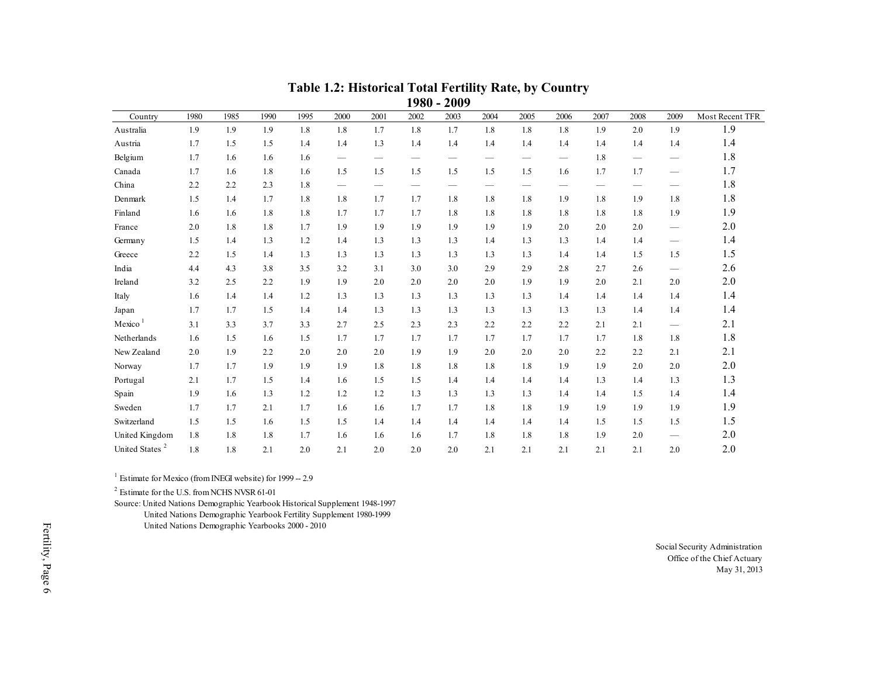|                            |      |      |      |      |                          |                                 |                                 | 1980 - 2009                     |                          |      |                                 |      |      |                                 |                 |
|----------------------------|------|------|------|------|--------------------------|---------------------------------|---------------------------------|---------------------------------|--------------------------|------|---------------------------------|------|------|---------------------------------|-----------------|
| Country                    | 1980 | 1985 | 1990 | 1995 | 2000                     | 2001                            | 2002                            | 2003                            | 2004                     | 2005 | 2006                            | 2007 | 2008 | 2009                            | Most Recent TFR |
| Australia                  | 1.9  | 1.9  | 1.9  | 1.8  | 1.8                      | 1.7                             | 1.8                             | 1.7                             | 1.8                      | 1.8  | 1.8                             | 1.9  | 2.0  | 1.9                             | 1.9             |
| Austria                    | 1.7  | 1.5  | 1.5  | 1.4  | 1.4                      | 1.3                             | 1.4                             | 1.4                             | 1.4                      | 1.4  | 1.4                             | 1.4  | 1.4  | 1.4                             | 1.4             |
| Belgium                    | 1.7  | 1.6  | 1.6  | 1.6  | $\overline{\phantom{m}}$ |                                 |                                 |                                 | $\overline{\phantom{m}}$ |      |                                 | 1.8  |      |                                 | 1.8             |
| Canada                     | 1.7  | 1.6  | 1.8  | 1.6  | 1.5                      | 1.5                             | 1.5                             | 1.5                             | 1.5                      | 1.5  | 1.6                             | 1.7  | 1.7  |                                 | 1.7             |
| China                      | 2.2  | 2.2  | 2.3  | 1.8  | $\overline{\phantom{m}}$ | $\hspace{0.1mm}-\hspace{0.1mm}$ | $\hspace{0.1mm}-\hspace{0.1mm}$ | $\hspace{0.1mm}-\hspace{0.1mm}$ | $\overline{\phantom{m}}$ |      | $\hspace{0.1mm}-\hspace{0.1mm}$ |      |      | $\overline{\phantom{m}}$        | 1.8             |
| Denmark                    | 1.5  | 1.4  | 1.7  | 1.8  | 1.8                      | 1.7                             | 1.7                             | 1.8                             | 1.8                      | 1.8  | 1.9                             | 1.8  | 1.9  | 1.8                             | 1.8             |
| Finland                    | 1.6  | 1.6  | 1.8  | 1.8  | 1.7                      | 1.7                             | 1.7                             | 1.8                             | 1.8                      | 1.8  | 1.8                             | 1.8  | 1.8  | 1.9                             | 1.9             |
| France                     | 2.0  | 1.8  | 1.8  | 1.7  | 1.9                      | 1.9                             | 1.9                             | 1.9                             | 1.9                      | 1.9  | 2.0                             | 2.0  | 2.0  | $\hspace{0.1mm}-\hspace{0.1mm}$ | 2.0             |
| Germany                    | 1.5  | 1.4  | 1.3  | 1.2  | 1.4                      | 1.3                             | 1.3                             | 1.3                             | 1.4                      | 1.3  | 1.3                             | 1.4  | 1.4  | $\overbrace{\phantom{12333}}$   | 1.4             |
| Greece                     | 2.2  | 1.5  | 1.4  | 1.3  | 1.3                      | 1.3                             | 1.3                             | 1.3                             | 1.3                      | 1.3  | 1.4                             | 1.4  | 1.5  | 1.5                             | 1.5             |
| India                      | 4.4  | 4.3  | 3.8  | 3.5  | 3.2                      | 3.1                             | 3.0                             | 3.0                             | 2.9                      | 2.9  | 2.8                             | 2.7  | 2.6  | $\overbrace{\phantom{12333}}$   | 2.6             |
| Ireland                    | 3.2  | 2.5  | 2.2  | 1.9  | 1.9                      | 2.0                             | 2.0                             | 2.0                             | 2.0                      | 1.9  | 1.9                             | 2.0  | 2.1  | 2.0                             | 2.0             |
| Italy                      | 1.6  | 1.4  | 1.4  | 1.2  | 1.3                      | 1.3                             | 1.3                             | 1.3                             | 1.3                      | 1.3  | 1.4                             | 1.4  | 1.4  | 1.4                             | 1.4             |
| Japan                      | 1.7  | 1.7  | 1.5  | 1.4  | 1.4                      | 1.3                             | 1.3                             | 1.3                             | 1.3                      | 1.3  | 1.3                             | 1.3  | 1.4  | 1.4                             | 1.4             |
| Mexico <sup>1</sup>        | 3.1  | 3.3  | 3.7  | 3.3  | 2.7                      | 2.5                             | 2.3                             | 2.3                             | 2.2                      | 2.2  | 2.2                             | 2.1  | 2.1  |                                 | 2.1             |
| Netherlands                | 1.6  | 1.5  | 1.6  | 1.5  | 1.7                      | 1.7                             | 1.7                             | 1.7                             | 1.7                      | 1.7  | 1.7                             | 1.7  | 1.8  | 1.8                             | 1.8             |
| New Zealand                | 2.0  | 1.9  | 2.2  | 2.0  | 2.0                      | 2.0                             | 1.9                             | 1.9                             | 2.0                      | 2.0  | 2.0                             | 2.2  | 2.2  | 2.1                             | 2.1             |
| Norway                     | 1.7  | 1.7  | 1.9  | 1.9  | 1.9                      | 1.8                             | 1.8                             | 1.8                             | 1.8                      | 1.8  | 1.9                             | 1.9  | 2.0  | 2.0                             | 2.0             |
| Portugal                   | 2.1  | 1.7  | 1.5  | 1.4  | 1.6                      | 1.5                             | 1.5                             | 1.4                             | 1.4                      | 1.4  | 1.4                             | 1.3  | 1.4  | 1.3                             | 1.3             |
| Spain                      | 1.9  | 1.6  | 1.3  | 1.2  | 1.2                      | 1.2                             | 1.3                             | 1.3                             | 1.3                      | 1.3  | 1.4                             | 1.4  | 1.5  | 1.4                             | 1.4             |
| Sweden                     | 1.7  | 1.7  | 2.1  | 1.7  | 1.6                      | 1.6                             | 1.7                             | 1.7                             | 1.8                      | 1.8  | 1.9                             | 1.9  | 1.9  | 1.9                             | 1.9             |
| Switzerland                | 1.5  | 1.5  | 1.6  | 1.5  | 1.5                      | 1.4                             | 1.4                             | 1.4                             | 1.4                      | 1.4  | 1.4                             | 1.5  | 1.5  | 1.5                             | 1.5             |
| United Kingdom             | 1.8  | 1.8  | 1.8  | 1.7  | 1.6                      | 1.6                             | 1.6                             | 1.7                             | 1.8                      | 1.8  | 1.8                             | 1.9  | 2.0  | $\overline{\phantom{m}}$        | $2.0$           |
| United States <sup>2</sup> | 1.8  | 1.8  | 2.1  | 2.0  | 2.1                      | 2.0                             | 2.0                             | 2.0                             | 2.1                      | 2.1  | 2.1                             | 2.1  | 2.1  | 2.0                             | 2.0             |

#### **Table 1.2: Historical Total Fertility Rate, by Country 1980 - 2009**

<span id="page-9-0"></span><sup>1</sup> Estimate for Mexico (from INEGI website) for 1999 -- 2.9

<sup>2</sup> Estimate for the U.S. from NCHS NVSR 61-01

Source: United Nations Demographic Yearbook Historical Supplement 1948-1997 United Nations Demographic Yearbook Fertility Supplement 1980-1999

United Nations Demographic Yearbooks 2000 - 2010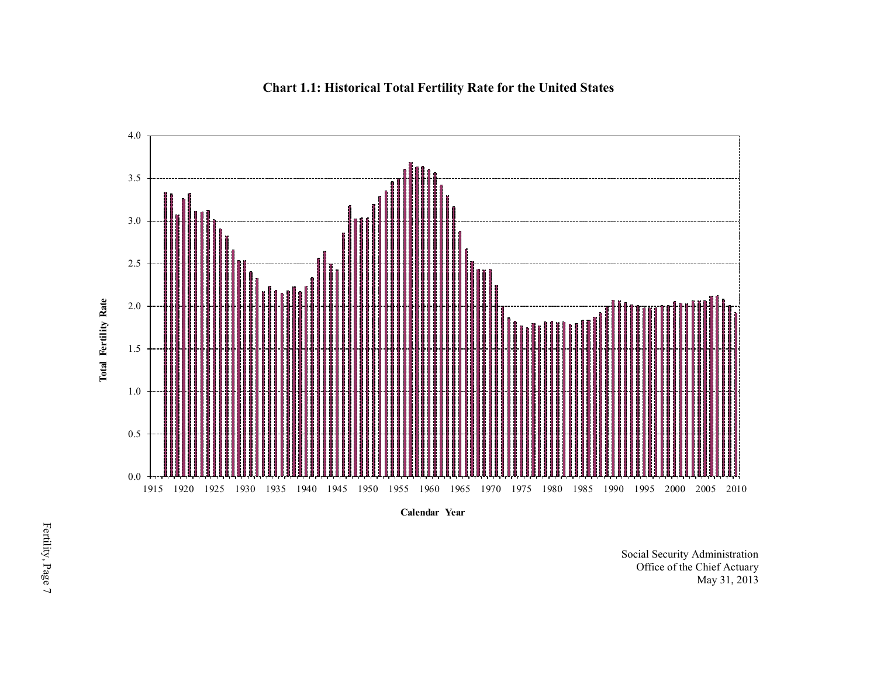<span id="page-10-0"></span>

**Chart 1.1: Historical Total Fertility Rate for the United States** 

**Calendar Year**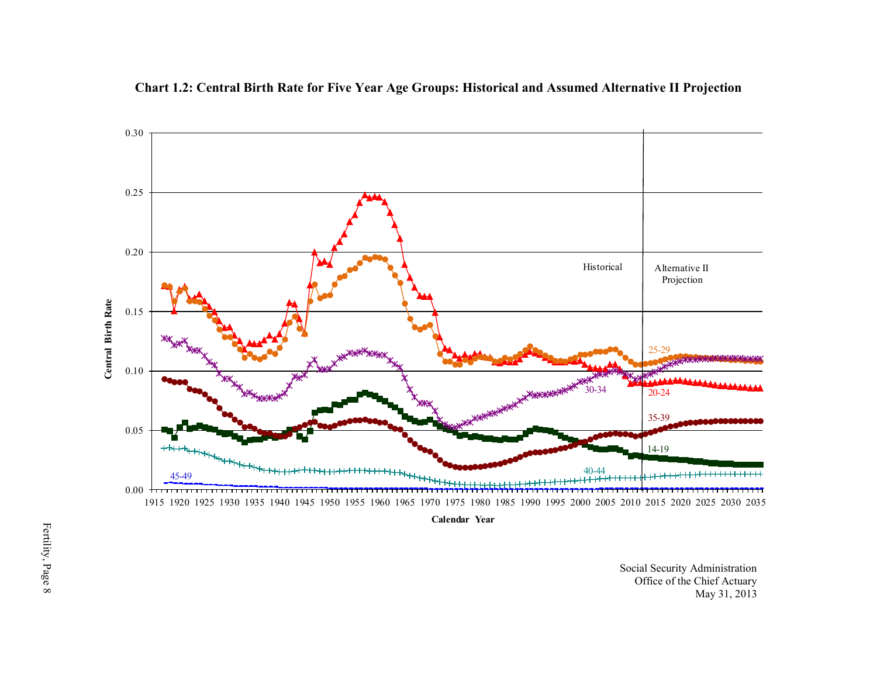<span id="page-11-0"></span>

**Chart 1.2: Central Birth Rate for Five Year Age Groups: Historical and Assumed Alternative II Projection** 

**Calendar Year**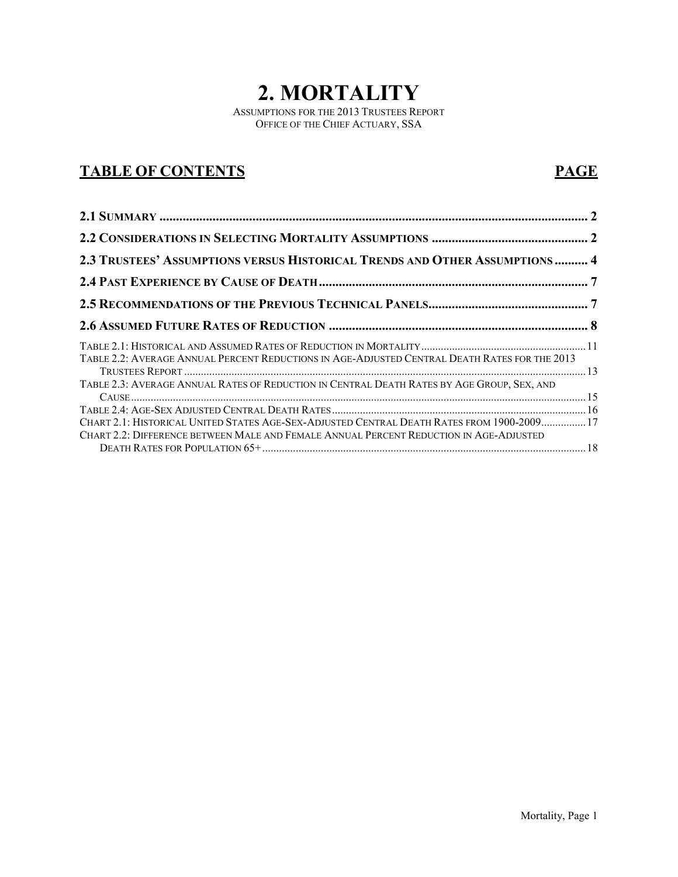# **2. MORTALITY**

ASSUMPTIONS FOR THE 2013 TRUSTEES REPORT OFFICE OF THE CHIEF ACTUARY, SSA

# **TABLE OF CONTENTS PAGE**

| 2.3 TRUSTEES' ASSUMPTIONS VERSUS HISTORICAL TRENDS AND OTHER ASSUMPTIONS  4                   |  |
|-----------------------------------------------------------------------------------------------|--|
|                                                                                               |  |
|                                                                                               |  |
|                                                                                               |  |
| TABLE 2.2: AVERAGE ANNUAL PERCENT REDUCTIONS IN AGE-ADJUSTED CENTRAL DEATH RATES FOR THE 2013 |  |
| TABLE 2.3: AVERAGE ANNUAL RATES OF REDUCTION IN CENTRAL DEATH RATES BY AGE GROUP, SEX, AND    |  |
| CHART 2.1: HISTORICAL UNITED STATES AGE-SEX-ADJUSTED CENTRAL DEATH RATES FROM 1900-2009 17    |  |
| CHART 2.2: DIFFERENCE BETWEEN MALE AND FEMALE ANNUAL PERCENT REDUCTION IN AGE-ADJUSTED        |  |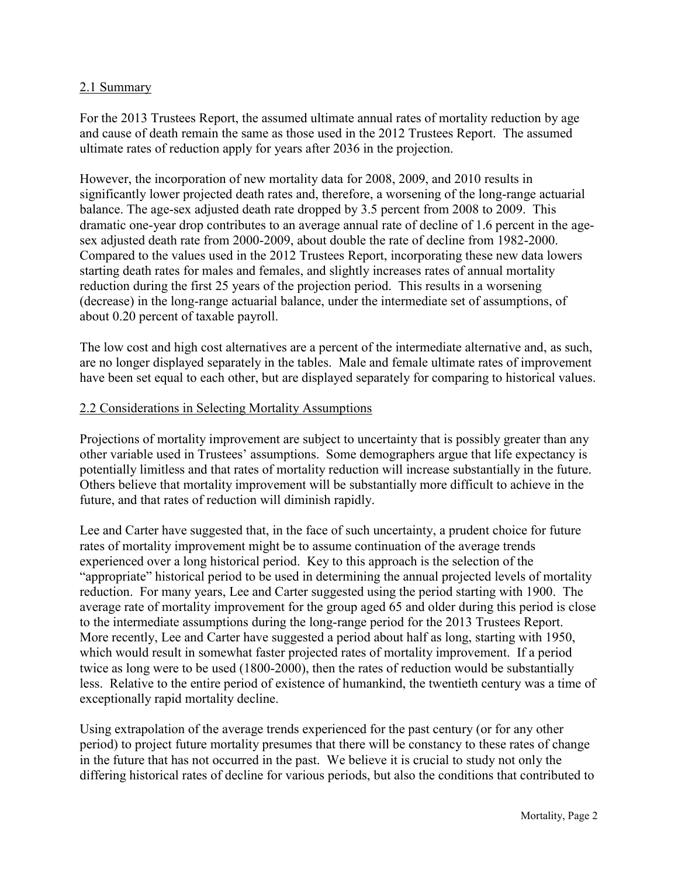#### <span id="page-13-0"></span>2.1 Summary

For the 2013 Trustees Report, the assumed ultimate annual rates of mortality reduction by age and cause of death remain the same as those used in the 2012 Trustees Report. The assumed ultimate rates of reduction apply for years after 2036 in the projection.

However, the incorporation of new mortality data for 2008, 2009, and 2010 results in significantly lower projected death rates and, therefore, a worsening of the long-range actuarial balance. The age-sex adjusted death rate dropped by 3.5 percent from 2008 to 2009. This dramatic one-year drop contributes to an average annual rate of decline of 1.6 percent in the agesex adjusted death rate from 2000-2009, about double the rate of decline from 1982-2000. Compared to the values used in the 2012 Trustees Report, incorporating these new data lowers starting death rates for males and females, and slightly increases rates of annual mortality reduction during the first 25 years of the projection period. This results in a worsening (decrease) in the long-range actuarial balance, under the intermediate set of assumptions, of about 0.20 percent of taxable payroll.

The low cost and high cost alternatives are a percent of the intermediate alternative and, as such, are no longer displayed separately in the tables. Male and female ultimate rates of improvement have been set equal to each other, but are displayed separately for comparing to historical values.

#### <span id="page-13-1"></span>2.2 Considerations in Selecting Mortality Assumptions

Projections of mortality improvement are subject to uncertainty that is possibly greater than any other variable used in Trustees' assumptions. Some demographers argue that life expectancy is potentially limitless and that rates of mortality reduction will increase substantially in the future. Others believe that mortality improvement will be substantially more difficult to achieve in the future, and that rates of reduction will diminish rapidly.

Lee and Carter have suggested that, in the face of such uncertainty, a prudent choice for future rates of mortality improvement might be to assume continuation of the average trends experienced over a long historical period. Key to this approach is the selection of the "appropriate" historical period to be used in determining the annual projected levels of mortality reduction. For many years, Lee and Carter suggested using the period starting with 1900. The average rate of mortality improvement for the group aged 65 and older during this period is close to the intermediate assumptions during the long-range period for the 2013 Trustees Report. More recently, Lee and Carter have suggested a period about half as long, starting with 1950, which would result in somewhat faster projected rates of mortality improvement. If a period twice as long were to be used (1800-2000), then the rates of reduction would be substantially less. Relative to the entire period of existence of humankind, the twentieth century was a time of exceptionally rapid mortality decline.

Using extrapolation of the average trends experienced for the past century (or for any other period) to project future mortality presumes that there will be constancy to these rates of change in the future that has not occurred in the past. We believe it is crucial to study not only the differing historical rates of decline for various periods, but also the conditions that contributed to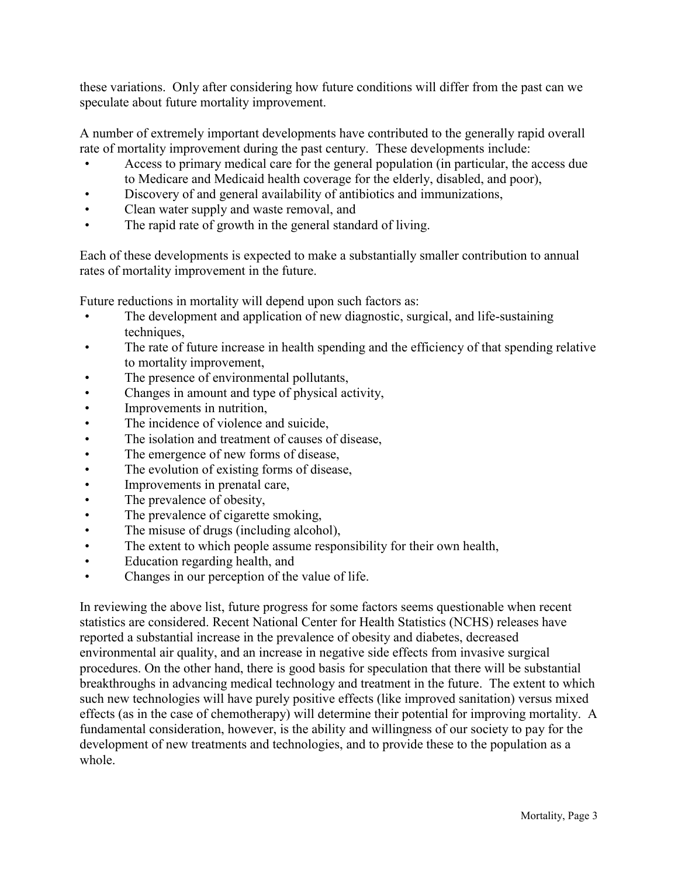these variations. Only after considering how future conditions will differ from the past can we speculate about future mortality improvement.

A number of extremely important developments have contributed to the generally rapid overall rate of mortality improvement during the past century. These developments include:

- Access to primary medical care for the general population (in particular, the access due to Medicare and Medicaid health coverage for the elderly, disabled, and poor),
- Discovery of and general availability of antibiotics and immunizations,
- Clean water supply and waste removal, and
- The rapid rate of growth in the general standard of living.

Each of these developments is expected to make a substantially smaller contribution to annual rates of mortality improvement in the future.

Future reductions in mortality will depend upon such factors as:

- The development and application of new diagnostic, surgical, and life-sustaining techniques,
- The rate of future increase in health spending and the efficiency of that spending relative to mortality improvement,
- The presence of environmental pollutants,
- Changes in amount and type of physical activity,
- Improvements in nutrition,
- The incidence of violence and suicide.
- The isolation and treatment of causes of disease,
- The emergence of new forms of disease,
- The evolution of existing forms of disease,
- Improvements in prenatal care,
- The prevalence of obesity,
- The prevalence of cigarette smoking,
- The misuse of drugs (including alcohol),
- The extent to which people assume responsibility for their own health,
- Education regarding health, and
- Changes in our perception of the value of life.

In reviewing the above list, future progress for some factors seems questionable when recent statistics are considered. Recent National Center for Health Statistics (NCHS) releases have reported a substantial increase in the prevalence of obesity and diabetes, decreased environmental air quality, and an increase in negative side effects from invasive surgical procedures. On the other hand, there is good basis for speculation that there will be substantial breakthroughs in advancing medical technology and treatment in the future. The extent to which such new technologies will have purely positive effects (like improved sanitation) versus mixed effects (as in the case of chemotherapy) will determine their potential for improving mortality. A fundamental consideration, however, is the ability and willingness of our society to pay for the development of new treatments and technologies, and to provide these to the population as a whole.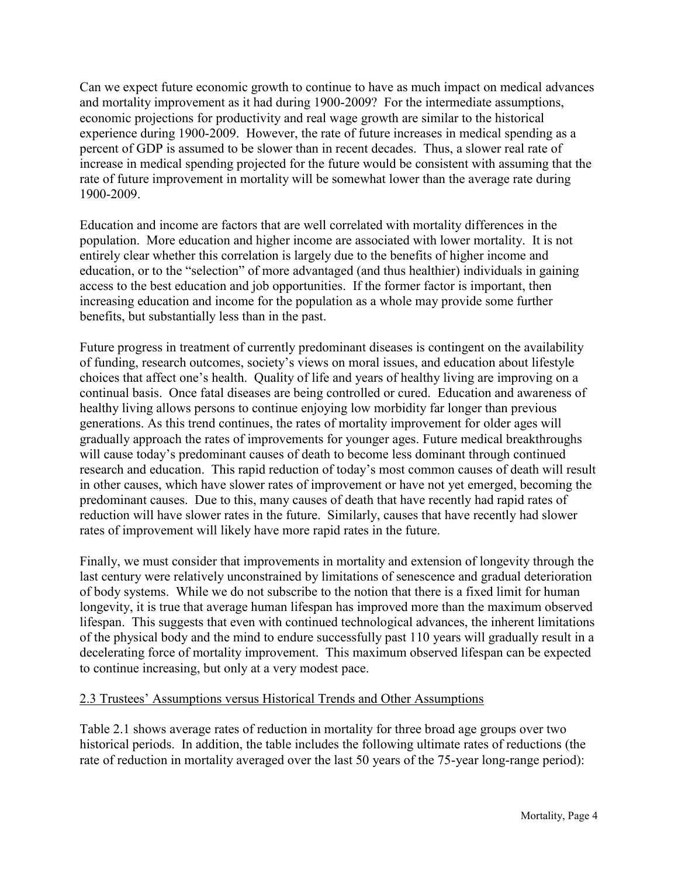Can we expect future economic growth to continue to have as much impact on medical advances and mortality improvement as it had during 1900-2009? For the intermediate assumptions, economic projections for productivity and real wage growth are similar to the historical experience during 1900-2009. However, the rate of future increases in medical spending as a percent of GDP is assumed to be slower than in recent decades. Thus, a slower real rate of increase in medical spending projected for the future would be consistent with assuming that the rate of future improvement in mortality will be somewhat lower than the average rate during 1900-2009.

Education and income are factors that are well correlated with mortality differences in the population. More education and higher income are associated with lower mortality. It is not entirely clear whether this correlation is largely due to the benefits of higher income and education, or to the "selection" of more advantaged (and thus healthier) individuals in gaining access to the best education and job opportunities. If the former factor is important, then increasing education and income for the population as a whole may provide some further benefits, but substantially less than in the past.

Future progress in treatment of currently predominant diseases is contingent on the availability of funding, research outcomes, society's views on moral issues, and education about lifestyle choices that affect one's health. Quality of life and years of healthy living are improving on a continual basis. Once fatal diseases are being controlled or cured. Education and awareness of healthy living allows persons to continue enjoying low morbidity far longer than previous generations. As this trend continues, the rates of mortality improvement for older ages will gradually approach the rates of improvements for younger ages. Future medical breakthroughs will cause today's predominant causes of death to become less dominant through continued research and education. This rapid reduction of today's most common causes of death will result in other causes, which have slower rates of improvement or have not yet emerged, becoming the predominant causes. Due to this, many causes of death that have recently had rapid rates of reduction will have slower rates in the future. Similarly, causes that have recently had slower rates of improvement will likely have more rapid rates in the future.

Finally, we must consider that improvements in mortality and extension of longevity through the last century were relatively unconstrained by limitations of senescence and gradual deterioration of body systems. While we do not subscribe to the notion that there is a fixed limit for human longevity, it is true that average human lifespan has improved more than the maximum observed lifespan. This suggests that even with continued technological advances, the inherent limitations of the physical body and the mind to endure successfully past 110 years will gradually result in a decelerating force of mortality improvement. This maximum observed lifespan can be expected to continue increasing, but only at a very modest pace.

#### <span id="page-15-0"></span>2.3 Trustees' Assumptions versus Historical Trends and Other Assumptions

Table 2.1 shows average rates of reduction in mortality for three broad age groups over two historical periods. In addition, the table includes the following ultimate rates of reductions (the rate of reduction in mortality averaged over the last 50 years of the 75-year long-range period):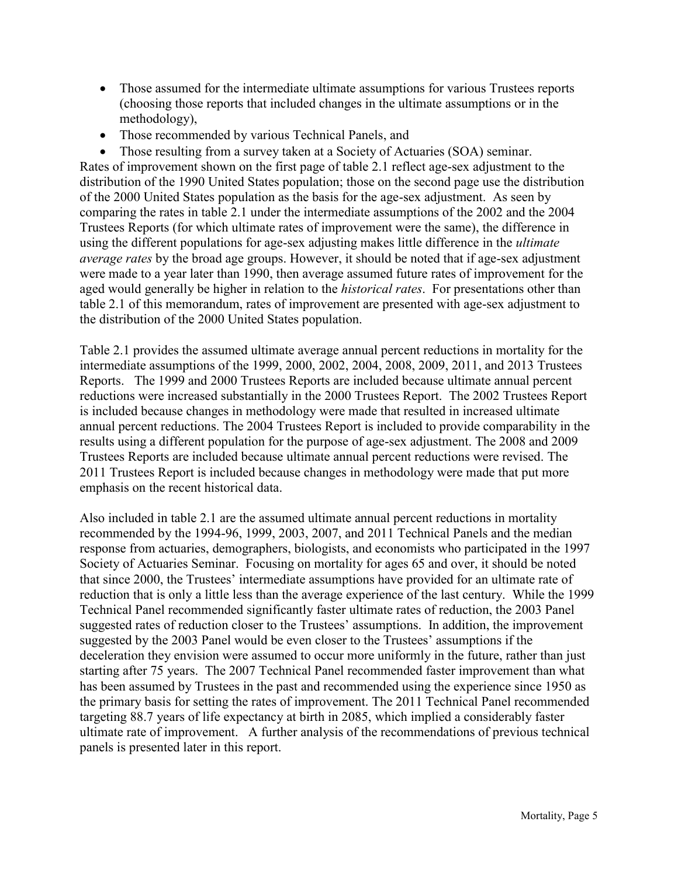- Those assumed for the intermediate ultimate assumptions for various Trustees reports (choosing those reports that included changes in the ultimate assumptions or in the methodology),
- Those recommended by various Technical Panels, and

• Those resulting from a survey taken at a Society of Actuaries (SOA) seminar. Rates of improvement shown on the first page of table 2.1 reflect age-sex adjustment to the distribution of the 1990 United States population; those on the second page use the distribution of the 2000 United States population as the basis for the age-sex adjustment. As seen by comparing the rates in table 2.1 under the intermediate assumptions of the 2002 and the 2004 Trustees Reports (for which ultimate rates of improvement were the same), the difference in using the different populations for age-sex adjusting makes little difference in the *ultimate average rates* by the broad age groups. However, it should be noted that if age-sex adjustment were made to a year later than 1990, then average assumed future rates of improvement for the aged would generally be higher in relation to the *historical rates*. For presentations other than table 2.1 of this memorandum, rates of improvement are presented with age-sex adjustment to the distribution of the 2000 United States population.

Table 2.1 provides the assumed ultimate average annual percent reductions in mortality for the intermediate assumptions of the 1999, 2000, 2002, 2004, 2008, 2009, 2011, and 2013 Trustees Reports. The 1999 and 2000 Trustees Reports are included because ultimate annual percent reductions were increased substantially in the 2000 Trustees Report. The 2002 Trustees Report is included because changes in methodology were made that resulted in increased ultimate annual percent reductions. The 2004 Trustees Report is included to provide comparability in the results using a different population for the purpose of age-sex adjustment. The 2008 and 2009 Trustees Reports are included because ultimate annual percent reductions were revised. The 2011 Trustees Report is included because changes in methodology were made that put more emphasis on the recent historical data.

Also included in table 2.1 are the assumed ultimate annual percent reductions in mortality recommended by the 1994-96, 1999, 2003, 2007, and 2011 Technical Panels and the median response from actuaries, demographers, biologists, and economists who participated in the 1997 Society of Actuaries Seminar. Focusing on mortality for ages 65 and over, it should be noted that since 2000, the Trustees' intermediate assumptions have provided for an ultimate rate of reduction that is only a little less than the average experience of the last century. While the 1999 Technical Panel recommended significantly faster ultimate rates of reduction, the 2003 Panel suggested rates of reduction closer to the Trustees' assumptions. In addition, the improvement suggested by the 2003 Panel would be even closer to the Trustees' assumptions if the deceleration they envision were assumed to occur more uniformly in the future, rather than just starting after 75 years. The 2007 Technical Panel recommended faster improvement than what has been assumed by Trustees in the past and recommended using the experience since 1950 as the primary basis for setting the rates of improvement. The 2011 Technical Panel recommended targeting 88.7 years of life expectancy at birth in 2085, which implied a considerably faster ultimate rate of improvement. A further analysis of the recommendations of previous technical panels is presented later in this report.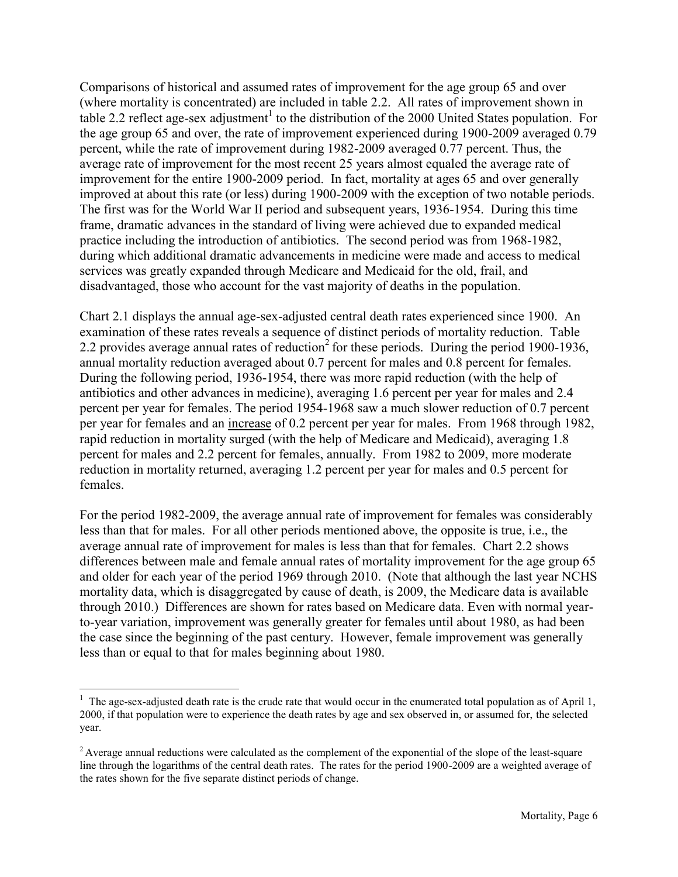Comparisons of historical and assumed rates of improvement for the age group 65 and over (where mortality is concentrated) are included in table 2.2. All rates of improvement shown in table 2.2 reflect age-sex adjustment<sup>1</sup> to the distribution of the 2000 United States population. For the age group 65 and over, the rate of improvement experienced during 1900-2009 averaged 0.79 percent, while the rate of improvement during 1982-2009 averaged 0.77 percent. Thus, the average rate of improvement for the most recent 25 years almost equaled the average rate of improvement for the entire 1900-2009 period. In fact, mortality at ages 65 and over generally improved at about this rate (or less) during 1900-2009 with the exception of two notable periods. The first was for the World War II period and subsequent years, 1936-1954. During this time frame, dramatic advances in the standard of living were achieved due to expanded medical practice including the introduction of antibiotics. The second period was from 1968-1982, during which additional dramatic advancements in medicine were made and access to medical services was greatly expanded through Medicare and Medicaid for the old, frail, and disadvantaged, those who account for the vast majority of deaths in the population.

Chart 2.1 displays the annual age-sex-adjusted central death rates experienced since 1900. An examination of these rates reveals a sequence of distinct periods of mortality reduction. Table 2.2 provides average annual rates of reduction<sup>2</sup> for these periods. During the period 1900-1936, annual mortality reduction averaged about 0.7 percent for males and 0.8 percent for females. During the following period, 1936-1954, there was more rapid reduction (with the help of antibiotics and other advances in medicine), averaging 1.6 percent per year for males and 2.4 percent per year for females. The period 1954-1968 saw a much slower reduction of 0.7 percent per year for females and an increase of 0.2 percent per year for males. From 1968 through 1982, rapid reduction in mortality surged (with the help of Medicare and Medicaid), averaging 1.8 percent for males and 2.2 percent for females, annually. From 1982 to 2009, more moderate reduction in mortality returned, averaging 1.2 percent per year for males and 0.5 percent for females.

For the period 1982-2009, the average annual rate of improvement for females was considerably less than that for males. For all other periods mentioned above, the opposite is true, i.e., the average annual rate of improvement for males is less than that for females. Chart 2.2 shows differences between male and female annual rates of mortality improvement for the age group 65 and older for each year of the period 1969 through 2010. (Note that although the last year NCHS mortality data, which is disaggregated by cause of death, is 2009, the Medicare data is available through 2010.) Differences are shown for rates based on Medicare data. Even with normal yearto-year variation, improvement was generally greater for females until about 1980, as had been the case since the beginning of the past century. However, female improvement was generally less than or equal to that for males beginning about 1980.

 $\overline{a}$  $<sup>1</sup>$  The age-sex-adjusted death rate is the crude rate that would occur in the enumerated total population as of April 1,</sup> 2000, if that population were to experience the death rates by age and sex observed in, or assumed for, the selected year.

 $2$  Average annual reductions were calculated as the complement of the exponential of the slope of the least-square line through the logarithms of the central death rates. The rates for the period 1900-2009 are a weighted average of the rates shown for the five separate distinct periods of change.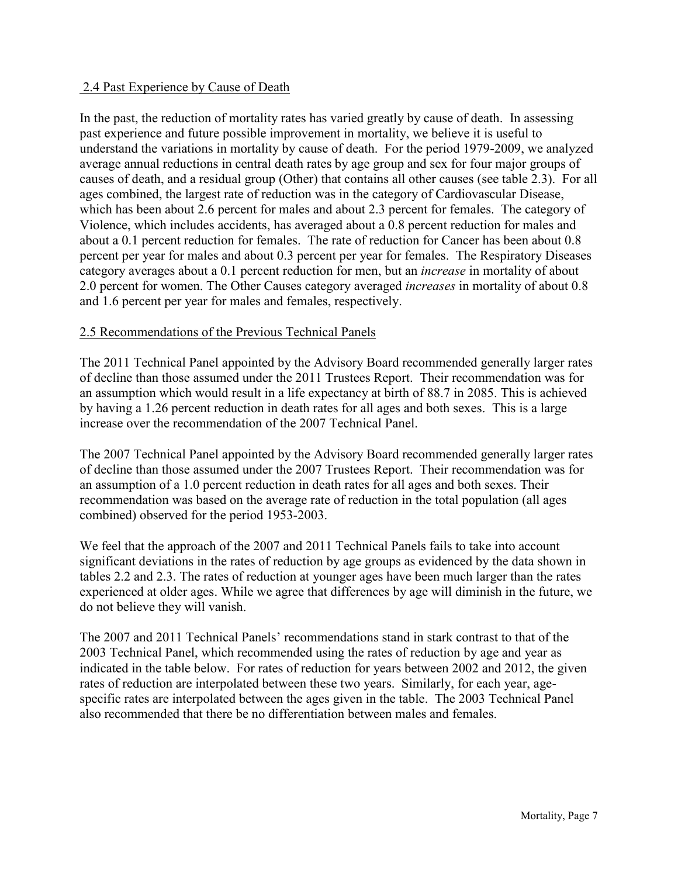#### <span id="page-18-0"></span>2.4 Past Experience by Cause of Death

In the past, the reduction of mortality rates has varied greatly by cause of death. In assessing past experience and future possible improvement in mortality, we believe it is useful to understand the variations in mortality by cause of death. For the period 1979-2009, we analyzed average annual reductions in central death rates by age group and sex for four major groups of causes of death, and a residual group (Other) that contains all other causes (see table 2.3). For all ages combined, the largest rate of reduction was in the category of Cardiovascular Disease, which has been about 2.6 percent for males and about 2.3 percent for females. The category of Violence, which includes accidents, has averaged about a 0.8 percent reduction for males and about a 0.1 percent reduction for females. The rate of reduction for Cancer has been about 0.8 percent per year for males and about 0.3 percent per year for females. The Respiratory Diseases category averages about a 0.1 percent reduction for men, but an *increase* in mortality of about 2.0 percent for women. The Other Causes category averaged *increases* in mortality of about 0.8 and 1.6 percent per year for males and females, respectively.

#### <span id="page-18-1"></span>2.5 Recommendations of the Previous Technical Panels

The 2011 Technical Panel appointed by the Advisory Board recommended generally larger rates of decline than those assumed under the 2011 Trustees Report. Their recommendation was for an assumption which would result in a life expectancy at birth of 88.7 in 2085. This is achieved by having a 1.26 percent reduction in death rates for all ages and both sexes. This is a large increase over the recommendation of the 2007 Technical Panel.

The 2007 Technical Panel appointed by the Advisory Board recommended generally larger rates of decline than those assumed under the 2007 Trustees Report. Their recommendation was for an assumption of a 1.0 percent reduction in death rates for all ages and both sexes. Their recommendation was based on the average rate of reduction in the total population (all ages combined) observed for the period 1953-2003.

We feel that the approach of the 2007 and 2011 Technical Panels fails to take into account significant deviations in the rates of reduction by age groups as evidenced by the data shown in tables 2.2 and 2.3. The rates of reduction at younger ages have been much larger than the rates experienced at older ages. While we agree that differences by age will diminish in the future, we do not believe they will vanish.

The 2007 and 2011 Technical Panels' recommendations stand in stark contrast to that of the 2003 Technical Panel, which recommended using the rates of reduction by age and year as indicated in the table below. For rates of reduction for years between 2002 and 2012, the given rates of reduction are interpolated between these two years. Similarly, for each year, agespecific rates are interpolated between the ages given in the table. The 2003 Technical Panel also recommended that there be no differentiation between males and females.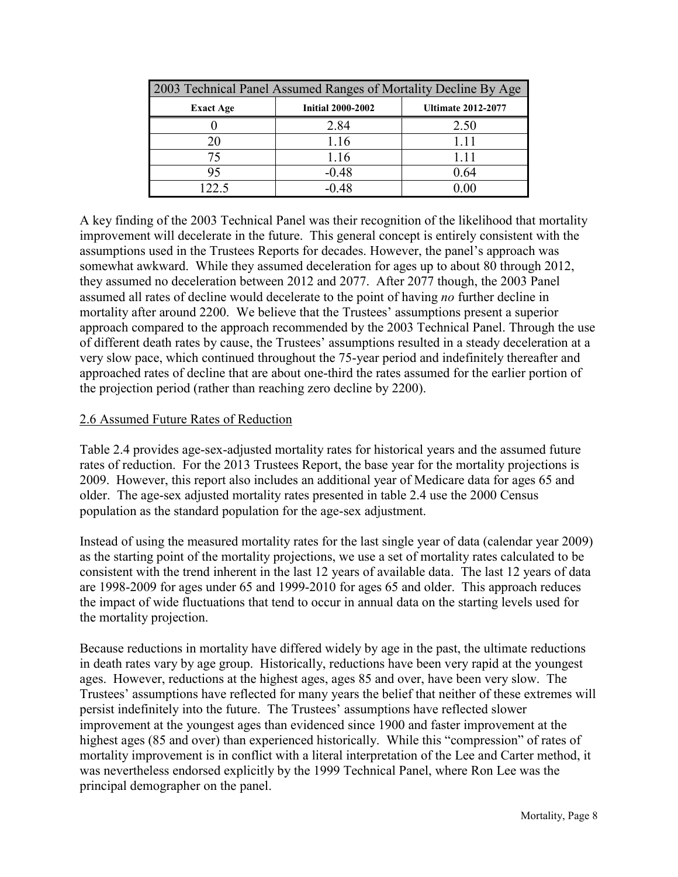|                  | 2003 Technical Panel Assumed Ranges of Mortality Decline By Age |                           |  |  |  |  |  |  |  |  |  |
|------------------|-----------------------------------------------------------------|---------------------------|--|--|--|--|--|--|--|--|--|
| <b>Exact Age</b> | <b>Initial 2000-2002</b>                                        | <b>Ultimate 2012-2077</b> |  |  |  |  |  |  |  |  |  |
|                  | 2.84                                                            | 2.50                      |  |  |  |  |  |  |  |  |  |
|                  | 1.16                                                            | 1.11                      |  |  |  |  |  |  |  |  |  |
|                  | 1.16                                                            | 1.11                      |  |  |  |  |  |  |  |  |  |
| 95               | $-0.48$                                                         | 0.64                      |  |  |  |  |  |  |  |  |  |
| 22 S             | $-0.48$                                                         |                           |  |  |  |  |  |  |  |  |  |

A key finding of the 2003 Technical Panel was their recognition of the likelihood that mortality improvement will decelerate in the future. This general concept is entirely consistent with the assumptions used in the Trustees Reports for decades. However, the panel's approach was somewhat awkward. While they assumed deceleration for ages up to about 80 through 2012, they assumed no deceleration between 2012 and 2077. After 2077 though, the 2003 Panel assumed all rates of decline would decelerate to the point of having *no* further decline in mortality after around 2200. We believe that the Trustees' assumptions present a superior approach compared to the approach recommended by the 2003 Technical Panel. Through the use of different death rates by cause, the Trustees' assumptions resulted in a steady deceleration at a very slow pace, which continued throughout the 75-year period and indefinitely thereafter and approached rates of decline that are about one-third the rates assumed for the earlier portion of the projection period (rather than reaching zero decline by 2200).

#### <span id="page-19-0"></span>2.6 Assumed Future Rates of Reduction

Table 2.4 provides age-sex-adjusted mortality rates for historical years and the assumed future rates of reduction. For the 2013 Trustees Report, the base year for the mortality projections is 2009. However, this report also includes an additional year of Medicare data for ages 65 and older. The age-sex adjusted mortality rates presented in table 2.4 use the 2000 Census population as the standard population for the age-sex adjustment.

Instead of using the measured mortality rates for the last single year of data (calendar year 2009) as the starting point of the mortality projections, we use a set of mortality rates calculated to be consistent with the trend inherent in the last 12 years of available data. The last 12 years of data are 1998-2009 for ages under 65 and 1999-2010 for ages 65 and older. This approach reduces the impact of wide fluctuations that tend to occur in annual data on the starting levels used for the mortality projection.

Because reductions in mortality have differed widely by age in the past, the ultimate reductions in death rates vary by age group. Historically, reductions have been very rapid at the youngest ages. However, reductions at the highest ages, ages 85 and over, have been very slow. The Trustees' assumptions have reflected for many years the belief that neither of these extremes will persist indefinitely into the future. The Trustees' assumptions have reflected slower improvement at the youngest ages than evidenced since 1900 and faster improvement at the highest ages (85 and over) than experienced historically. While this "compression" of rates of mortality improvement is in conflict with a literal interpretation of the Lee and Carter method, it was nevertheless endorsed explicitly by the 1999 Technical Panel, where Ron Lee was the principal demographer on the panel.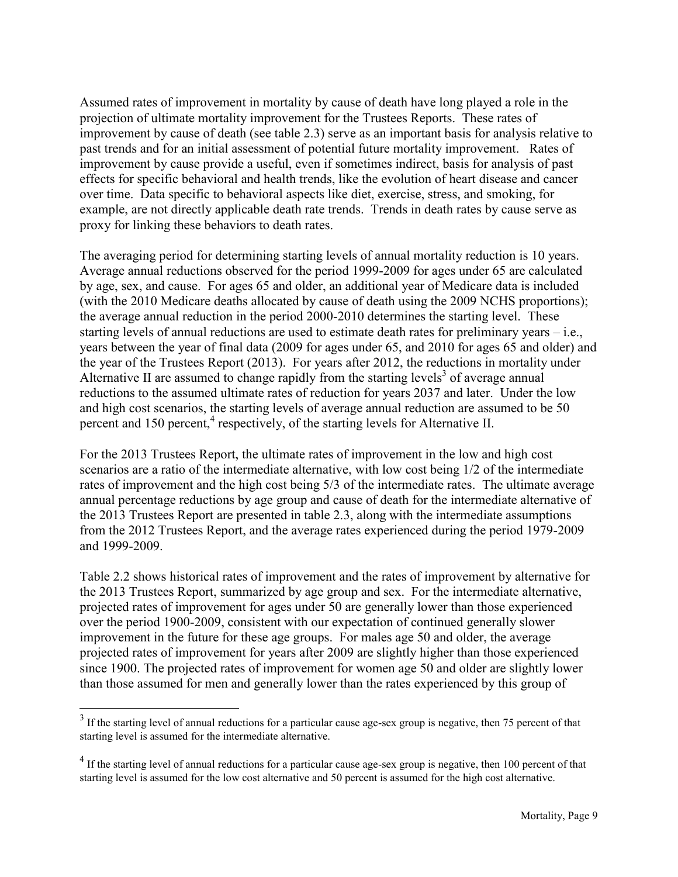Assumed rates of improvement in mortality by cause of death have long played a role in the projection of ultimate mortality improvement for the Trustees Reports. These rates of improvement by cause of death (see table 2.3) serve as an important basis for analysis relative to past trends and for an initial assessment of potential future mortality improvement. Rates of improvement by cause provide a useful, even if sometimes indirect, basis for analysis of past effects for specific behavioral and health trends, like the evolution of heart disease and cancer over time. Data specific to behavioral aspects like diet, exercise, stress, and smoking, for example, are not directly applicable death rate trends. Trends in death rates by cause serve as proxy for linking these behaviors to death rates.

The averaging period for determining starting levels of annual mortality reduction is 10 years. Average annual reductions observed for the period 1999-2009 for ages under 65 are calculated by age, sex, and cause. For ages 65 and older, an additional year of Medicare data is included (with the 2010 Medicare deaths allocated by cause of death using the 2009 NCHS proportions); the average annual reduction in the period 2000-2010 determines the starting level. These starting levels of annual reductions are used to estimate death rates for preliminary years – i.e., years between the year of final data (2009 for ages under 65, and 2010 for ages 65 and older) and the year of the Trustees Report (2013). For years after 2012, the reductions in mortality under Alternative II are assumed to change rapidly from the starting levels<sup>3</sup> of average annual reductions to the assumed ultimate rates of reduction for years 2037 and later. Under the low and high cost scenarios, the starting levels of average annual reduction are assumed to be 50 percent and 150 percent,<sup>4</sup> respectively, of the starting levels for Alternative II.

For the 2013 Trustees Report, the ultimate rates of improvement in the low and high cost scenarios are a ratio of the intermediate alternative, with low cost being 1/2 of the intermediate rates of improvement and the high cost being 5/3 of the intermediate rates. The ultimate average annual percentage reductions by age group and cause of death for the intermediate alternative of the 2013 Trustees Report are presented in table 2.3, along with the intermediate assumptions from the 2012 Trustees Report, and the average rates experienced during the period 1979-2009 and 1999-2009.

Table 2.2 shows historical rates of improvement and the rates of improvement by alternative for the 2013 Trustees Report, summarized by age group and sex. For the intermediate alternative, projected rates of improvement for ages under 50 are generally lower than those experienced over the period 1900-2009, consistent with our expectation of continued generally slower improvement in the future for these age groups. For males age 50 and older, the average projected rates of improvement for years after 2009 are slightly higher than those experienced since 1900. The projected rates of improvement for women age 50 and older are slightly lower than those assumed for men and generally lower than the rates experienced by this group of

 $\overline{a}$ 

 $3$  If the starting level of annual reductions for a particular cause age-sex group is negative, then 75 percent of that starting level is assumed for the intermediate alternative.

 $<sup>4</sup>$  If the starting level of annual reductions for a particular cause age-sex group is negative, then 100 percent of that</sup> starting level is assumed for the low cost alternative and 50 percent is assumed for the high cost alternative.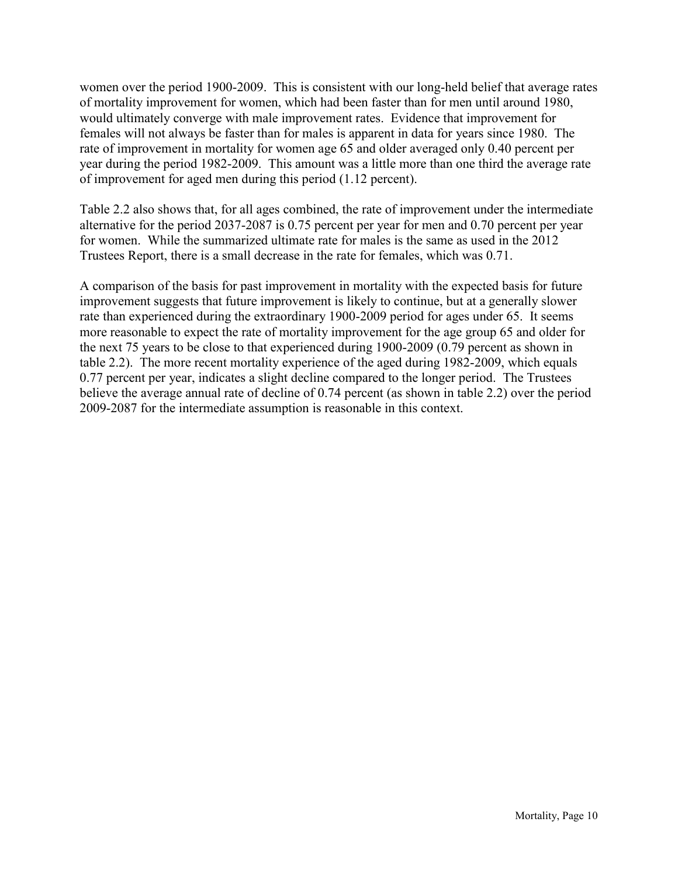women over the period 1900-2009. This is consistent with our long-held belief that average rates of mortality improvement for women, which had been faster than for men until around 1980, would ultimately converge with male improvement rates. Evidence that improvement for females will not always be faster than for males is apparent in data for years since 1980. The rate of improvement in mortality for women age 65 and older averaged only 0.40 percent per year during the period 1982-2009. This amount was a little more than one third the average rate of improvement for aged men during this period (1.12 percent).

Table 2.2 also shows that, for all ages combined, the rate of improvement under the intermediate alternative for the period 2037-2087 is 0.75 percent per year for men and 0.70 percent per year for women. While the summarized ultimate rate for males is the same as used in the 2012 Trustees Report, there is a small decrease in the rate for females, which was 0.71.

A comparison of the basis for past improvement in mortality with the expected basis for future improvement suggests that future improvement is likely to continue, but at a generally slower rate than experienced during the extraordinary 1900-2009 period for ages under 65. It seems more reasonable to expect the rate of mortality improvement for the age group 65 and older for the next 75 years to be close to that experienced during 1900-2009 (0.79 percent as shown in table 2.2). The more recent mortality experience of the aged during 1982-2009, which equals 0.77 percent per year, indicates a slight decline compared to the longer period. The Trustees believe the average annual rate of decline of 0.74 percent (as shown in table 2.2) over the period 2009-2087 for the intermediate assumption is reasonable in this context.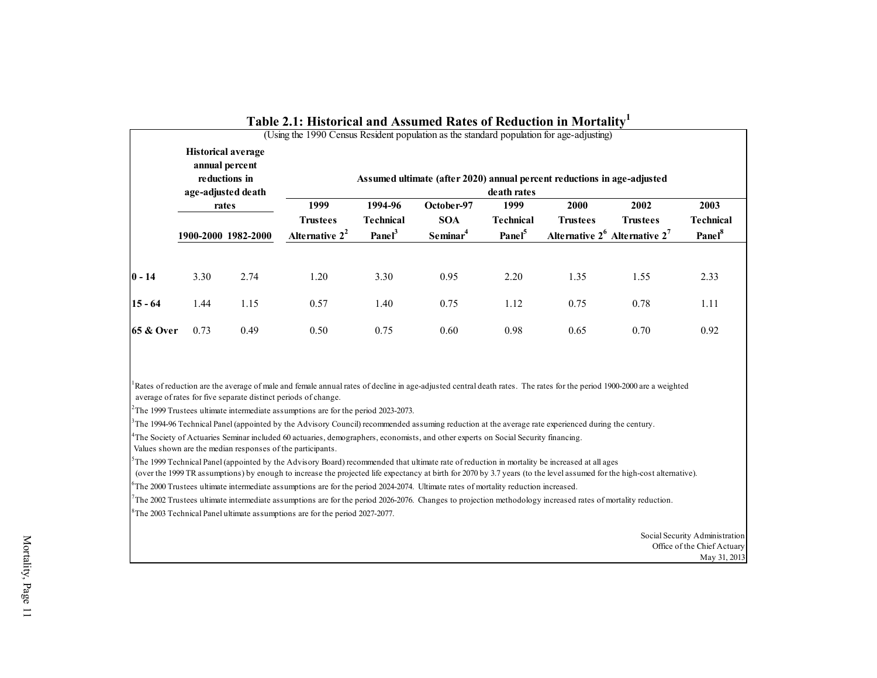|           | <b>Historical average</b><br>annual percent<br>reductions in<br>age-adjusted death |                              | (Using the 1990 Census Resident population as the standard population for age-adjusting) |                                                   | Assumed ultimate (after 2020) annual percent reductions in age-adjusted | death rates                                    |                         |                                                                |                                                |
|-----------|------------------------------------------------------------------------------------|------------------------------|------------------------------------------------------------------------------------------|---------------------------------------------------|-------------------------------------------------------------------------|------------------------------------------------|-------------------------|----------------------------------------------------------------|------------------------------------------------|
|           |                                                                                    | rates<br>1900-2000 1982-2000 | 1999<br><b>Trustees</b><br>Alternative $2^2$                                             | 1994-96<br><b>Technical</b><br>Panel <sup>3</sup> | October-97<br><b>SOA</b><br>Seminar <sup>4</sup>                        | 1999<br><b>Technical</b><br>Panel <sup>5</sup> | 2000<br><b>Trustees</b> | 2002<br><b>Trustees</b><br>Alternative $2^6$ Alternative $2^7$ | 2003<br><b>Technical</b><br>Panel <sup>8</sup> |
| $0 - 14$  | 3.30                                                                               | 2.74                         | 1.20                                                                                     | 3.30                                              | 0.95                                                                    | 2.20                                           | 1.35                    | 1.55                                                           | 2.33                                           |
| $15 - 64$ | 1.44                                                                               | 1.15                         | 0.57                                                                                     | 1.40                                              | 0.75                                                                    | 1.12                                           | 0.75                    | 0.78                                                           | 1.11                                           |
| 65 & Over | 0.73                                                                               | 0.49                         | 0.50                                                                                     | 0.75                                              | 0.60                                                                    | 0.98                                           | 0.65                    | 0.70                                                           | 0.92                                           |
|           |                                                                                    |                              |                                                                                          |                                                   |                                                                         |                                                |                         |                                                                |                                                |

#### **Table 2.1: Historical and Assumed Rates of Reduction in Mortality<sup>1</sup>**

<span id="page-22-0"></span>Rates of reduction are the average of male and female annual rates of decline in age-adjusted central death rates. The rates for the period 1900-2000 are a weighted average of rates for five separate distinct periods of change.

 $2^2$ The 1999 Trustees ultimate intermediate assumptions are for the period 2023-2073.

 $3$ The 1994-96 Technical Panel (appointed by the Advisory Council) recommended assuming reduction at the average rate experienced during the century.

<sup>4</sup>The Society of Actuaries Seminar included 60 actuaries, demographers, economists, and other experts on Social Security financing.

Values shown are the median responses of the participants.

 $5$ The 1999 Technical Panel (appointed by the Advisory Board) recommended that ultimate rate of reduction in mortality be increased at all ages

(over the 1999 TR assumptions) by enough to increase the projected life expectancy at birth for 2070 by 3.7 years (to the level assumed for the high-cost alternative).

 $6$ The 2000 Trustees ultimate intermediate assumptions are for the period 2024-2074. Ultimate rates of mortality reduction increased.

The 2002 Trustees ultimate intermediate assumptions are for the period 2026-2076. Changes to projection methodology increased rates of mortality reduction.

<sup>8</sup>The 2003 Technical Panel ultimate assumptions are for the period 2027-2077.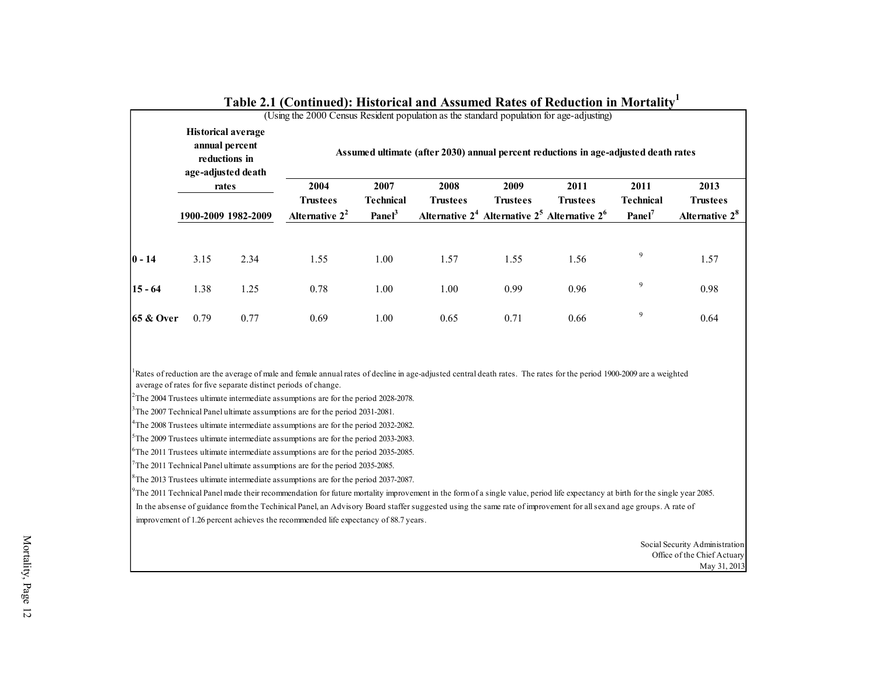| 2004<br>2007<br>2008<br>2009<br>2013<br>2011<br>2011<br>rates<br><b>Technical</b><br><b>Technical</b><br><b>Trustees</b><br><b>Trustees</b><br><b>Trustees</b><br><b>Trustees</b><br>Panel <sup>3</sup><br>Alternative $2^4$ Alternative $2^5$ Alternative $2^6$<br>Alternative $2^2$<br>$Panel^7$<br>1900-2009 1982-2009<br>9<br>1.00<br>1.57<br>1.55<br>3.15<br>2.34<br>1.55<br>1.56<br>1.57<br>9<br>1.38<br>1.25<br>0.78<br>1.00<br>1.00<br>0.99<br>0.96<br>0.98<br>9<br>0.69<br>0.71<br>0.79<br>0.77<br>1.00<br>0.65<br>0.66<br>0.64<br>average of rates for five separate distinct periods of change.<br>$7$ The 2011 Technical Panel ultimate assumptions are for the period 2035-2085.<br>The 2011 Technical Panel made their recommendation for future mortality improvement in the form of a single value, period life expectancy at birth for the single year 2085. | In the absense of guidance from the Techinical Panel, an Advisory Board staffer suggested using the same rate of improvement for all sex and age groups. A rate of<br>improvement of 1.26 percent achieves the recommended life expectancy of 88.7 years. | <b>Historical average</b><br>annual percent<br>reductions in<br>age-adjusted death |  | Assumed ultimate (after 2030) annual percent reductions in age-adjusted death rates |  |  |  |  |  |                            |  |  |  |  |
|-------------------------------------------------------------------------------------------------------------------------------------------------------------------------------------------------------------------------------------------------------------------------------------------------------------------------------------------------------------------------------------------------------------------------------------------------------------------------------------------------------------------------------------------------------------------------------------------------------------------------------------------------------------------------------------------------------------------------------------------------------------------------------------------------------------------------------------------------------------------------------|-----------------------------------------------------------------------------------------------------------------------------------------------------------------------------------------------------------------------------------------------------------|------------------------------------------------------------------------------------|--|-------------------------------------------------------------------------------------|--|--|--|--|--|----------------------------|--|--|--|--|
|                                                                                                                                                                                                                                                                                                                                                                                                                                                                                                                                                                                                                                                                                                                                                                                                                                                                               |                                                                                                                                                                                                                                                           |                                                                                    |  |                                                                                     |  |  |  |  |  |                            |  |  |  |  |
| $0 - 14$<br>$15 - 64$<br><b>65 &amp; Over</b><br><sup>1</sup> Rates of reduction are the average of male and female annual rates of decline in age-adjusted central death rates. The rates for the period 1900-2009 are a weighted<br>$2$ The 2004 Trustees ultimate intermediate assumptions are for the period 2028-2078.<br><sup>3</sup> The 2007 Technical Panel ultimate assumptions are for the period 2031-2081.<br><sup>4</sup> The 2008 Trustees ultimate intermediate assumptions are for the period 2032-2082.<br>${}^{5}$ The 2009 Trustees ultimate intermediate assumptions are for the period 2033-2083.<br>${}^{6}$ The 2011 Trustees ultimate intermediate assumptions are for the period 2035-2085.<br>${}^{8}$ The 2013 Trustees ultimate intermediate assumptions are for the period 2037-2087.                                                           |                                                                                                                                                                                                                                                           |                                                                                    |  |                                                                                     |  |  |  |  |  | <b>Trustees</b>            |  |  |  |  |
|                                                                                                                                                                                                                                                                                                                                                                                                                                                                                                                                                                                                                                                                                                                                                                                                                                                                               |                                                                                                                                                                                                                                                           |                                                                                    |  |                                                                                     |  |  |  |  |  | Alternative 2 <sup>8</sup> |  |  |  |  |
|                                                                                                                                                                                                                                                                                                                                                                                                                                                                                                                                                                                                                                                                                                                                                                                                                                                                               |                                                                                                                                                                                                                                                           |                                                                                    |  |                                                                                     |  |  |  |  |  |                            |  |  |  |  |
|                                                                                                                                                                                                                                                                                                                                                                                                                                                                                                                                                                                                                                                                                                                                                                                                                                                                               |                                                                                                                                                                                                                                                           |                                                                                    |  |                                                                                     |  |  |  |  |  |                            |  |  |  |  |
|                                                                                                                                                                                                                                                                                                                                                                                                                                                                                                                                                                                                                                                                                                                                                                                                                                                                               |                                                                                                                                                                                                                                                           |                                                                                    |  |                                                                                     |  |  |  |  |  |                            |  |  |  |  |
|                                                                                                                                                                                                                                                                                                                                                                                                                                                                                                                                                                                                                                                                                                                                                                                                                                                                               |                                                                                                                                                                                                                                                           |                                                                                    |  |                                                                                     |  |  |  |  |  |                            |  |  |  |  |
|                                                                                                                                                                                                                                                                                                                                                                                                                                                                                                                                                                                                                                                                                                                                                                                                                                                                               |                                                                                                                                                                                                                                                           |                                                                                    |  |                                                                                     |  |  |  |  |  |                            |  |  |  |  |
|                                                                                                                                                                                                                                                                                                                                                                                                                                                                                                                                                                                                                                                                                                                                                                                                                                                                               |                                                                                                                                                                                                                                                           |                                                                                    |  |                                                                                     |  |  |  |  |  |                            |  |  |  |  |
|                                                                                                                                                                                                                                                                                                                                                                                                                                                                                                                                                                                                                                                                                                                                                                                                                                                                               |                                                                                                                                                                                                                                                           |                                                                                    |  |                                                                                     |  |  |  |  |  |                            |  |  |  |  |
|                                                                                                                                                                                                                                                                                                                                                                                                                                                                                                                                                                                                                                                                                                                                                                                                                                                                               |                                                                                                                                                                                                                                                           |                                                                                    |  |                                                                                     |  |  |  |  |  |                            |  |  |  |  |
|                                                                                                                                                                                                                                                                                                                                                                                                                                                                                                                                                                                                                                                                                                                                                                                                                                                                               |                                                                                                                                                                                                                                                           |                                                                                    |  |                                                                                     |  |  |  |  |  |                            |  |  |  |  |
|                                                                                                                                                                                                                                                                                                                                                                                                                                                                                                                                                                                                                                                                                                                                                                                                                                                                               |                                                                                                                                                                                                                                                           |                                                                                    |  |                                                                                     |  |  |  |  |  |                            |  |  |  |  |

#### **Table 2.1 (Continued): Historical and Assumed Rates of Reduction in Mortality<sup>1</sup>**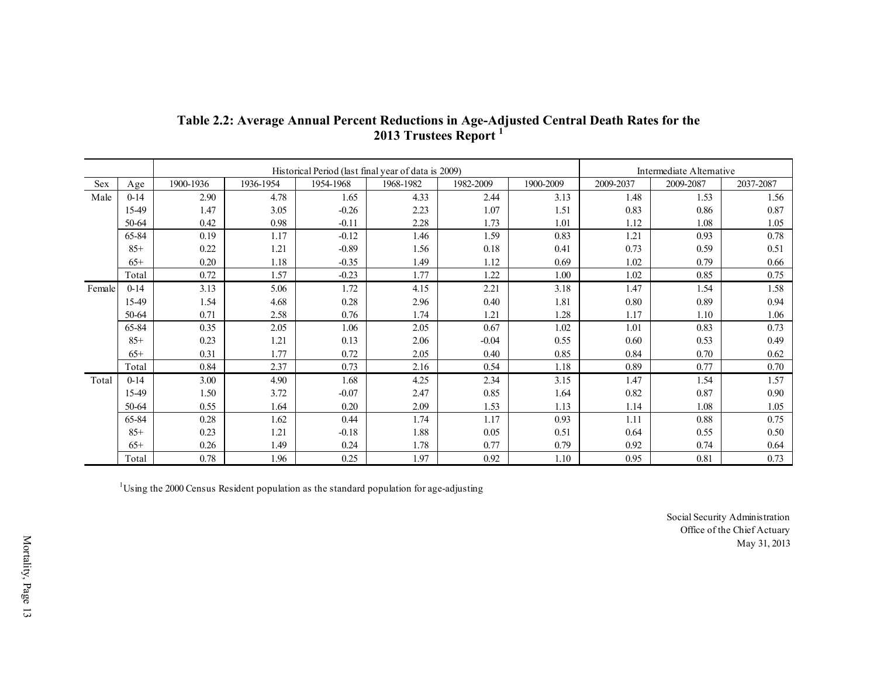|        |          |           |           |           | 2013 Trustees Report <sup>1</sup>                   |           | Table 2.2: Average Annual Percent Reductions in Age-Adjusted Central Death Rates for the |           |                          |           |
|--------|----------|-----------|-----------|-----------|-----------------------------------------------------|-----------|------------------------------------------------------------------------------------------|-----------|--------------------------|-----------|
|        |          |           |           |           | Historical Period (last final year of data is 2009) |           |                                                                                          |           | Intermediate Alternative |           |
| Sex    | Age      | 1900-1936 | 1936-1954 | 1954-1968 | 1968-1982                                           | 1982-2009 | 1900-2009                                                                                | 2009-2037 | 2009-2087                | 2037-2087 |
| Male   | $0 - 14$ | 2.90      | 4.78      | 1.65      | 4.33                                                | 2.44      | 3.13                                                                                     | 1.48      | 1.53                     | 1.56      |
|        | 15-49    | 1.47      | 3.05      | $-0.26$   | 2.23                                                | 1.07      | 1.51                                                                                     | 0.83      | 0.86                     | 0.87      |
|        | 50-64    | 0.42      | 0.98      | $-0.11$   | 2.28                                                | 1.73      | 1.01                                                                                     | 1.12      | 1.08                     | 1.05      |
|        | 65-84    | 0.19      | 1.17      | $-0.12$   | 1.46                                                | 1.59      | 0.83                                                                                     | 1.21      | 0.93                     | 0.78      |
|        | $85+$    | 0.22      | 1.21      | $-0.89$   | 1.56                                                | 0.18      | 0.41                                                                                     | 0.73      | 0.59                     | 0.51      |
|        | $65+$    | 0.20      | 1.18      | $-0.35$   | 1.49                                                | 1.12      | 0.69                                                                                     | 1.02      | 0.79                     | 0.66      |
|        | Total    | 0.72      | 1.57      | $-0.23$   | 1.77                                                | 1.22      | 1.00                                                                                     | 1.02      | 0.85                     | 0.75      |
| Female | $0 - 14$ | 3.13      | 5.06      | 1.72      | 4.15                                                | 2.21      | 3.18                                                                                     | 1.47      | 1.54                     | 1.58      |
|        | 15-49    | 1.54      | 4.68      | $0.28\,$  | 2.96                                                | 0.40      | 1.81                                                                                     | 0.80      | 0.89                     | 0.94      |
|        | 50-64    | 0.71      | 2.58      | 0.76      | 1.74                                                | 1.21      | 1.28                                                                                     | 1.17      | 1.10                     | 1.06      |
|        | 65-84    | 0.35      | 2.05      | 1.06      | 2.05                                                | 0.67      | 1.02                                                                                     | 1.01      | 0.83                     | 0.73      |
|        | $85+$    | 0.23      | 1.21      | 0.13      | 2.06                                                | $-0.04$   | 0.55                                                                                     | 0.60      | 0.53                     | 0.49      |
|        | $65+$    | 0.31      | 1.77      | 0.72      | 2.05                                                | 0.40      | 0.85                                                                                     | 0.84      | 0.70                     | 0.62      |
|        | Total    | 0.84      | 2.37      | 0.73      | 2.16                                                | 0.54      | 1.18                                                                                     | 0.89      | 0.77                     | 0.70      |
| Total  | $0-14$   | 3.00      | 4.90      | 1.68      | 4.25                                                | 2.34      | 3.15                                                                                     | 1.47      | 1.54                     | 1.57      |
|        | 15-49    | 1.50      | 3.72      | $-0.07$   | 2.47                                                | 0.85      | 1.64                                                                                     | 0.82      | 0.87                     | 0.90      |
|        | 50-64    | 0.55      | 1.64      | 0.20      | 2.09                                                | 1.53      | 1.13                                                                                     | 1.14      | 1.08                     | 1.05      |
|        | 65-84    | 0.28      | 1.62      | 0.44      | 1.74                                                | 1.17      | 0.93                                                                                     | 1.11      | 0.88                     | 0.75      |
|        | $85+$    | 0.23      | 1.21      | $-0.18$   | 1.88                                                | 0.05      | 0.51                                                                                     | 0.64      | 0.55                     | 0.50      |
|        | $65+$    | 0.26      | 1.49      | 0.24      | 1.78                                                | 0.77      | 0.79                                                                                     | 0.92      | 0.74                     | 0.64      |
|        | Total    | 0.78      | 1.96      | 0.25      | 1.97                                                | 0.92      | 1.10                                                                                     | 0.95      | 0.81                     | 0.73      |

#### **Table 2.2: Average Annual Percent Reductions in Age-Adjusted Central Death Rates for the 2013 Trustees Report <sup>1</sup>**

<span id="page-24-0"></span><sup>1</sup>Using the 2000 Census Resident population as the standard population for age-adjusting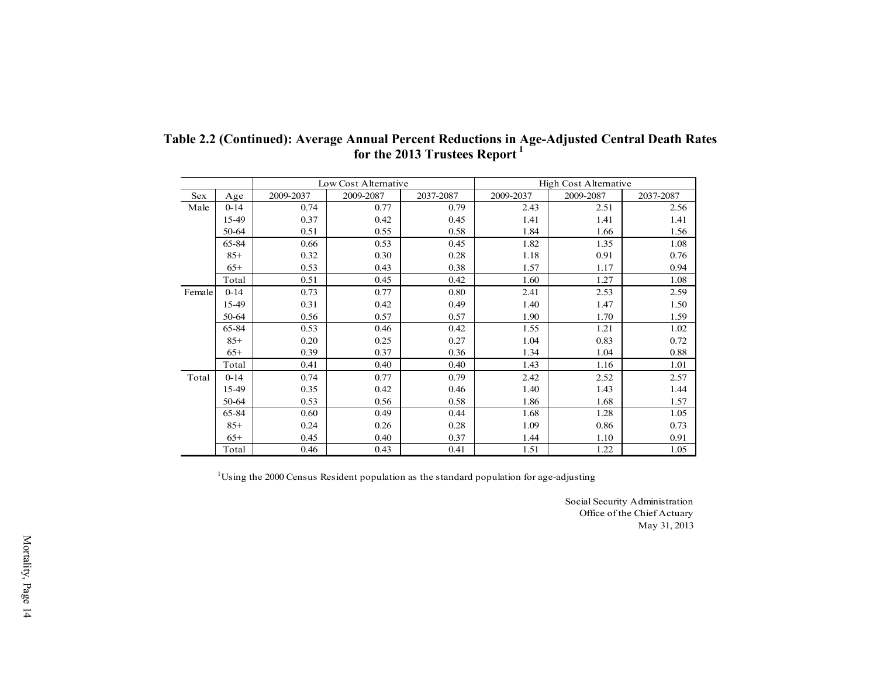|            |          |           |                      | for the 2013 Trustees Report <sup>1</sup> |           |                       |           |
|------------|----------|-----------|----------------------|-------------------------------------------|-----------|-----------------------|-----------|
|            |          |           | Low Cost Alternative |                                           |           | High Cost Alternative |           |
| <b>Sex</b> | Age      | 2009-2037 | 2009-2087            | 2037-2087                                 | 2009-2037 | 2009-2087             | 2037-2087 |
| Male       | $0 - 14$ | 0.74      | 0.77                 | 0.79                                      | 2.43      | 2.51                  | 2.56      |
|            | 15-49    | 0.37      | 0.42                 | 0.45                                      | 1.41      | 1.41                  | 1.41      |
|            | 50-64    | 0.51      | 0.55                 | 0.58                                      | 1.84      | 1.66                  | 1.56      |
|            | 65-84    | 0.66      | 0.53                 | 0.45                                      | 1.82      | 1.35                  | 1.08      |
|            | $85+$    | 0.32      | 0.30                 | 0.28                                      | 1.18      | 0.91                  | 0.76      |
|            | $65+$    | 0.53      | 0.43                 | 0.38                                      | 1.57      | 1.17                  | 0.94      |
|            | Total    | 0.51      | 0.45                 | 0.42                                      | 1.60      | 1.27                  | 1.08      |
| Female     | $0 - 14$ | 0.73      | 0.77                 | 0.80                                      | 2.41      | 2.53                  | 2.59      |
|            | 15-49    | 0.31      | 0.42                 | 0.49                                      | 1.40      | 1.47                  | 1.50      |
|            | 50-64    | 0.56      | 0.57                 | 0.57                                      | 1.90      | 1.70                  | 1.59      |
|            | 65-84    | 0.53      | 0.46                 | 0.42                                      | 1.55      | 1.21                  | 1.02      |
|            | $85+$    | 0.20      | 0.25                 | 0.27                                      | 1.04      | 0.83                  | 0.72      |
|            | $65+$    | 0.39      | 0.37                 | 0.36                                      | 1.34      | 1.04                  | 0.88      |
|            | Total    | 0.41      | 0.40                 | 0.40                                      | 1.43      | 1.16                  | 1.01      |
| Total      | $0 - 14$ | 0.74      | 0.77                 | 0.79                                      | 2.42      | 2.52                  | 2.57      |
|            | 15-49    | 0.35      | 0.42                 | 0.46                                      | 1.40      | 1.43                  | 1.44      |
|            | 50-64    | 0.53      | 0.56                 | 0.58                                      | 1.86      | 1.68                  | 1.57      |
|            | 65-84    | 0.60      | 0.49                 | 0.44                                      | 1.68      | 1.28                  | 1.05      |
|            | $85+$    | 0.24      | 0.26                 | 0.28                                      | 1.09      | 0.86                  | 0.73      |
|            | $65+$    | 0.45      | 0.40                 | 0.37                                      | 1.44      | 1.10                  | 0.91      |
|            | Total    | 0.46      | 0.43                 | 0.41                                      | 1.51      | 1.22                  | 1.05      |

**Table 2.2 (Continued): Average Annual Percent Reductions in Age-Adjusted Central Death Rates** 

 $1$ Using the 2000 Census Resident population as the standard population for age-adjusting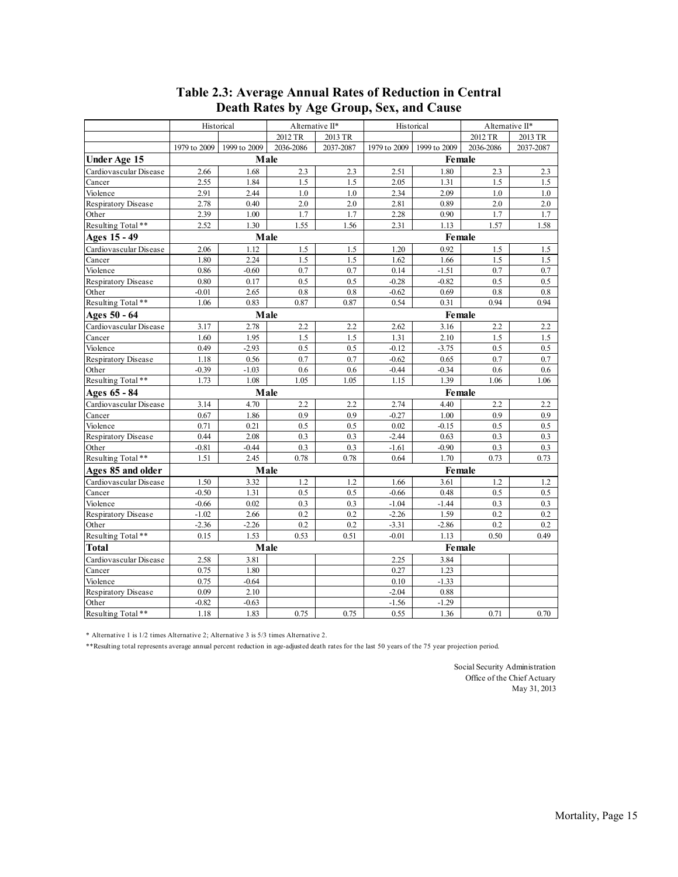<span id="page-26-0"></span>

|                        |              | Historical   | Alternative II* |           |              | Historical   | Alternative II* |           |
|------------------------|--------------|--------------|-----------------|-----------|--------------|--------------|-----------------|-----------|
|                        |              |              | 2012 TR         | 2013 TR   |              |              | 2012 TR         | 2013 TR   |
|                        | 1979 to 2009 | 1999 to 2009 | 2036-2086       | 2037-2087 | 1979 to 2009 | 1999 to 2009 | 2036-2086       | 2037-2087 |
| <b>Under Age 15</b>    |              | Male         |                 |           |              | Female       |                 |           |
| Cardiovascular Disease | 2.66         | 1.68         | 2.3             | 2.3       | 2.51         | 1.80         | 2.3             | 2.3       |
| Cancer                 | 2.55         | 1.84         | 1.5             | 1.5       | 2.05         | 1.31         | 1.5             | 1.5       |
| Violence               | 2.91         | 2.44         | 1.0             | 1.0       | 2.34         | 2.09         | 1.0             | 1.0       |
| Respiratory Disease    | 2.78         | 0.40         | 2.0             | 2.0       | 2.81         | 0.89         | 2.0             | 2.0       |
| Other                  | 2.39         | 1.00         | 1.7             | 1.7       | 2.28         | 0.90         | 1.7             | 1.7       |
| Resulting Total**      | 2.52         | 1.30         | 1.55            | 1.56      | 2.31         | 1.13         | 1.57            | 1.58      |
| Ages 15 - 49           |              |              | Male            |           |              | Female       |                 |           |
| Cardiovascular Disease | 2.06         | 1.12         | 1.5             | 1.5       | 1.20         | 0.92         | 1.5             | 1.5       |
| Cancer                 | 1.80         | 2.24         | 1.5             | 1.5       | 1.62         | 1.66         | 1.5             | 1.5       |
| Violence               | 0.86         | $-0.60$      | 0.7             | 0.7       | 0.14         | $-1.51$      | 0.7             | 0.7       |
| Respiratory Disease    | 0.80         | 0.17         | 0.5             | 0.5       | $-0.28$      | $-0.82$      | 0.5             | 0.5       |
| Other                  | $-0.01$      | 2.65         | 0.8             | 0.8       | $-0.62$      | 0.69         | 0.8             | 0.8       |
| Resulting Total**      | 1.06         | 0.83         | 0.87            | 0.87      | 0.54         | 0.31         | 0.94            | 0.94      |
| Ages 50 - 64           |              |              | Male            |           |              | Female       |                 |           |
| Cardiovascular Disease | 3.17         | 2.78         | 2.2             | 2.2       | 2.62         | 3.16         | 2.2             | 2.2       |
| Cancer                 | 1.60         | 1.95         | 1.5             | 1.5       | 1.31         | 2.10         | 1.5             | 1.5       |
| Violence               | 0.49         | $-2.93$      | 0.5             | 0.5       | $-0.12$      | $-3.75$      | 0.5             | 0.5       |
| Respiratory Disease    | 1.18         | 0.56         | 0.7             | 0.7       | $-0.62$      | 0.65         | 0.7             | 0.7       |
| Other                  | $-0.39$      | $-1.03$      | 0.6             | 0.6       | $-0.44$      | $-0.34$      | 0.6             | 0.6       |
| Resulting Total**      | 1.73         | 1.08         | 1.05            | 1.05      | 1.15         | 1.39         | 1.06            | 1.06      |
| Ages 65 - 84           |              |              | Male            |           |              | Female       |                 |           |
| Cardiovascular Disease | 3.14         | 4.70         | 2.2             | 2.2       | 2.74         | 4.40         | 2.2             | 2.2       |
| Cancer                 | 0.67         | 1.86         | 0.9             | 0.9       | $-0.27$      | 1.00         | 0.9             | 0.9       |
| Violence               | 0.71         | 0.21         | 0.5             | 0.5       | 0.02         | $-0.15$      | 0.5             | 0.5       |
| Respiratory Disease    | 0.44         | 2.08         | 0.3             | 0.3       | $-2.44$      | 0.63         | 0.3             | 0.3       |
| Other                  | $-0.81$      | $-0.44$      | 0.3             | 0.3       | $-1.61$      | $-0.90$      | 0.3             | 0.3       |
| Resulting Total**      | 1.51         | 2.45         | 0.78            | 0.78      | 0.64         | 1.70         | 0.73            | 0.73      |
| Ages 85 and older      |              |              | Male            |           |              | Female       |                 |           |
| Cardiovascular Disease | 1.50         | 3.32         | 1.2             | 1.2       | 1.66         | 3.61         | 1.2             | 1.2       |
| Cancer                 | $-0.50$      | 1.31         | 0.5             | 0.5       | $-0.66$      | 0.48         | 0.5             | 0.5       |
| Violence               | $-0.66$      | 0.02         | 0.3             | 0.3       | $-1.04$      | $-1.44$      | 0.3             | 0.3       |
| Respiratory Disease    | $-1.02$      | 2.66         | 0.2             | 0.2       | $-2.26$      | 1.59         | 0.2             | 0.2       |
| Other                  | $-2.36$      | $-2.26$      | 0.2             | 0.2       | $-3.31$      | $-2.86$      | 0.2             | 0.2       |
| Resulting Total**      | 0.15         | 1.53         | 0.53            | 0.51      | $-0.01$      | 1.13         | 0.50            | 0.49      |
| <b>Total</b>           |              |              | Male            |           |              | Female       |                 |           |
| Cardiovascular Disease | 2.58         | 3.81         |                 |           | 2.25         | 3.84         |                 |           |
| Cancer                 | 0.75         | 1.80         |                 |           | 0.27         | 1.23         |                 |           |
| Violence               | 0.75         | $-0.64$      |                 |           | 0.10         | $-1.33$      |                 |           |
| Respiratory Disease    | 0.09         | 2.10         |                 |           | $-2.04$      | 0.88         |                 |           |
| Other                  | $-0.82$      | $-0.63$      |                 |           | $-1.56$      | $-1.29$      |                 |           |
| Resulting Total **     | 1.18         | 1.83         | 0.75            | 0.75      | 0.55         | 1.36         | 0.71            | 0.70      |

# **Table 2.3: Average Annual Rates of Reduction in Central**

\* Alternative 1 is 1/2 times Alternative 2; Alternative 3 is 5/3 times Alternative 2.

\*\*Resulting total represents average annual percent reduction in age-adjusted death rates for the last 50 years of the 75 year projection period.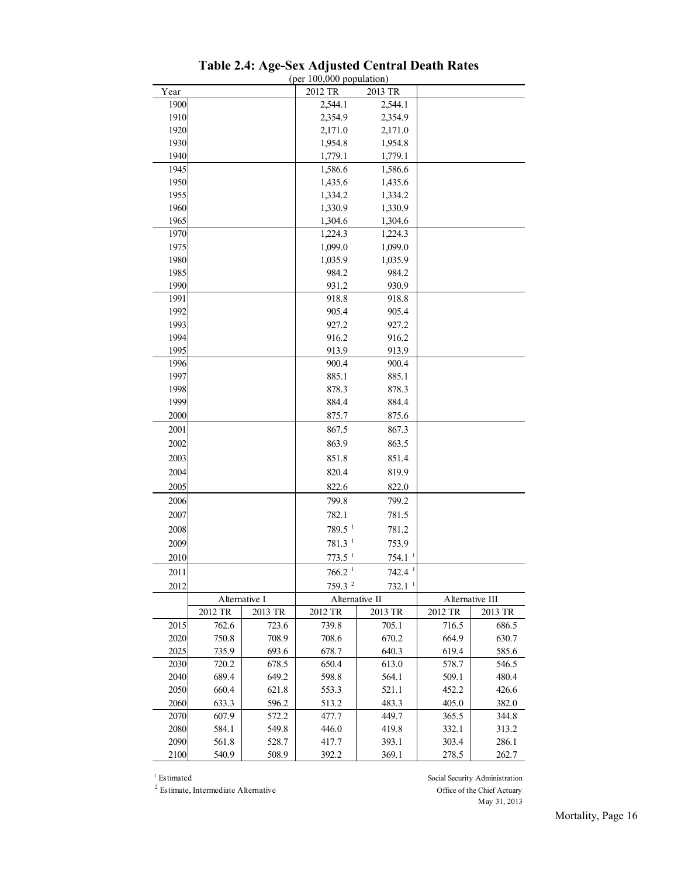<span id="page-27-0"></span>

|      |               |         | Table 2.4: Age-Sex Adjusted Central Death Rates<br>(per $100,000$ population) |                      |                 |         |
|------|---------------|---------|-------------------------------------------------------------------------------|----------------------|-----------------|---------|
| Year |               |         | 2012 TR                                                                       | 2013 TR              |                 |         |
| 1900 |               |         | 2,544.1                                                                       | 2,544.1              |                 |         |
| 1910 |               |         | 2,354.9                                                                       | 2,354.9              |                 |         |
| 1920 |               |         | 2,171.0                                                                       | 2,171.0              |                 |         |
| 1930 |               |         | 1,954.8                                                                       | 1,954.8              |                 |         |
| 1940 |               |         | 1,779.1                                                                       | 1,779.1              |                 |         |
| 1945 |               |         | 1,586.6                                                                       | 1,586.6              |                 |         |
| 1950 |               |         | 1,435.6                                                                       | 1,435.6              |                 |         |
| 1955 |               |         | 1,334.2                                                                       | 1,334.2              |                 |         |
| 1960 |               |         | 1,330.9                                                                       | 1,330.9              |                 |         |
| 1965 |               |         | 1,304.6                                                                       | 1,304.6              |                 |         |
| 1970 |               |         | 1,224.3                                                                       | 1,224.3              |                 |         |
| 1975 |               |         | 1,099.0                                                                       | 1,099.0              |                 |         |
| 1980 |               |         | 1,035.9                                                                       | 1,035.9              |                 |         |
| 1985 |               |         | 984.2                                                                         | 984.2                |                 |         |
| 1990 |               |         | 931.2                                                                         | 930.9                |                 |         |
| 1991 |               |         | 918.8                                                                         | 918.8                |                 |         |
| 1992 |               |         | 905.4                                                                         | 905.4                |                 |         |
| 1993 |               |         | 927.2                                                                         | 927.2                |                 |         |
| 1994 |               |         | 916.2                                                                         | 916.2                |                 |         |
| 1995 |               |         | 913.9                                                                         | 913.9                |                 |         |
| 1996 |               |         | 900.4                                                                         | 900.4                |                 |         |
| 1997 |               |         | 885.1                                                                         | 885.1                |                 |         |
| 1998 |               |         | 878.3                                                                         | 878.3                |                 |         |
| 1999 |               |         | 884.4                                                                         | 884.4                |                 |         |
| 2000 |               |         | 875.7                                                                         | 875.6                |                 |         |
| 2001 |               |         | 867.5                                                                         | 867.3                |                 |         |
| 2002 |               |         | 863.9                                                                         | 863.5                |                 |         |
| 2003 |               |         | 851.8                                                                         | 851.4                |                 |         |
| 2004 |               |         | 820.4                                                                         | 819.9                |                 |         |
|      |               |         |                                                                               |                      |                 |         |
| 2005 |               |         | 822.6                                                                         | 822.0                |                 |         |
| 2006 |               |         | 799.8                                                                         | 799.2                |                 |         |
| 2007 |               |         | 782.1                                                                         | 781.5                |                 |         |
| 2008 |               |         | $789.5-1$                                                                     | 781.2                |                 |         |
| 2009 |               |         | $781.3-1$                                                                     | 753.9                |                 |         |
| 2010 |               |         | $773.5-1$                                                                     | 754.1 <sup>1</sup>   |                 |         |
| 2011 |               |         | 766.2 <sup>1</sup>                                                            | $742.4$ <sup>1</sup> |                 |         |
| 2012 |               |         | 759.3 $^2$                                                                    | $732.1-1$            |                 |         |
|      | Alternative I |         | Alternative II                                                                |                      | Alternative III |         |
|      | 2012 TR       | 2013 TR | 2012 TR                                                                       | 2013 TR              | 2012 TR         | 2013 TR |
| 2015 | 762.6         | 723.6   | 739.8                                                                         | 705.1                | 716.5           | 686.5   |
| 2020 | 750.8         | 708.9   | 708.6                                                                         | 670.2                | 664.9           | 630.7   |
| 2025 | 735.9         | 693.6   | 678.7                                                                         | 640.3                | 619.4           | 585.6   |
| 2030 | 720.2         | 678.5   | 650.4                                                                         | 613.0                | 578.7           | 546.5   |
| 2040 | 689.4         | 649.2   | 598.8                                                                         | 564.1                | 509.1           | 480.4   |
| 2050 | 660.4         | 621.8   | 553.3                                                                         | 521.1                | 452.2           | 426.6   |
| 2060 | 633.3         | 596.2   | 513.2                                                                         | 483.3                | 405.0           | 382.0   |
| 2070 | 607.9         | 572.2   | 477.7                                                                         | 449.7                | 365.5           | 344.8   |
| 2080 | 584.1         | 549.8   | 446.0                                                                         | 419.8                | 332.1           | 313.2   |
| 2090 | 561.8         | 528.7   | 417.7                                                                         | 393.1                | 303.4           | 286.1   |
| 2100 | 540.9         | 508.9   | 392.2                                                                         | 369.1                | 278.5           | 262.7   |
|      |               |         |                                                                               |                      |                 |         |

| Table 2.4: Age-Sex Adjusted Central Death Rates |                            |  |  |
|-------------------------------------------------|----------------------------|--|--|
|                                                 | $(ner 100.000$ nomitation) |  |  |

Estimate, Intermediate Alternative Office of the Chief Actuary

<sup>1</sup> Estimated Social Security Administration May 31, 2013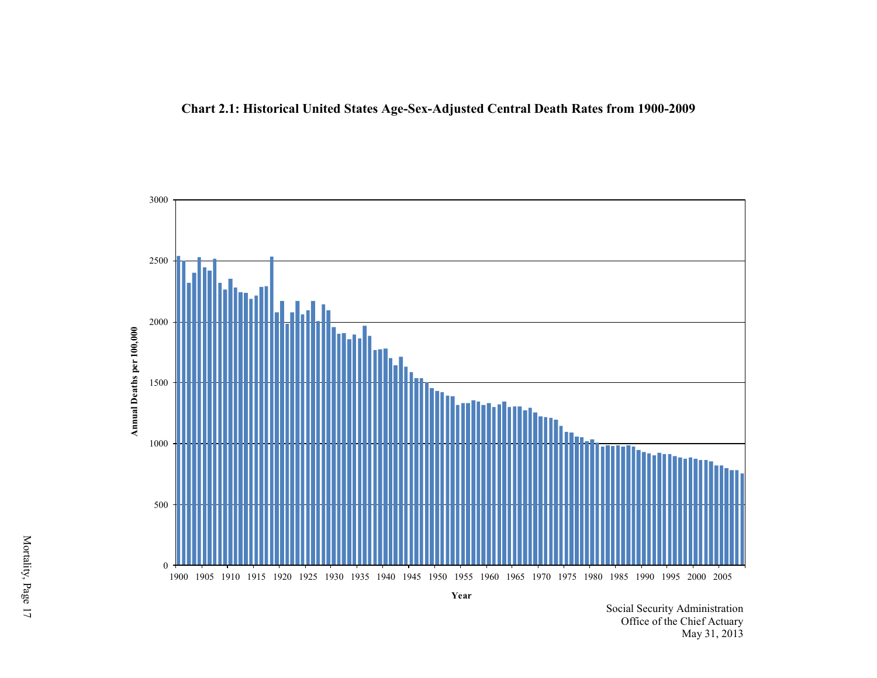

<span id="page-28-0"></span>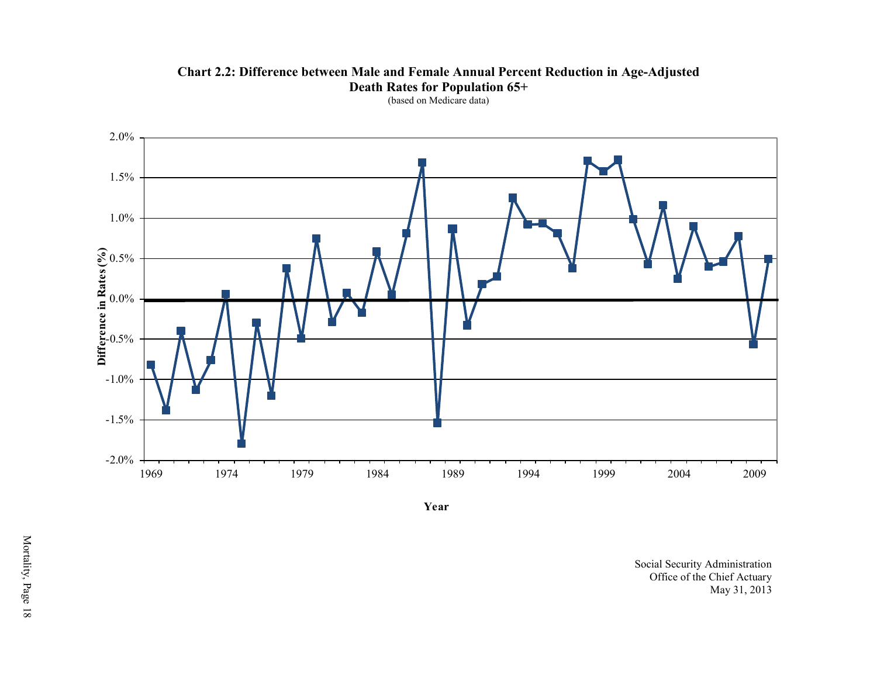**Chart 2.2: Difference between Male and Female Annual Percent Reduction in Age-Adjusted Death Rates for Population 65+** 



<span id="page-29-0"></span>

**Year**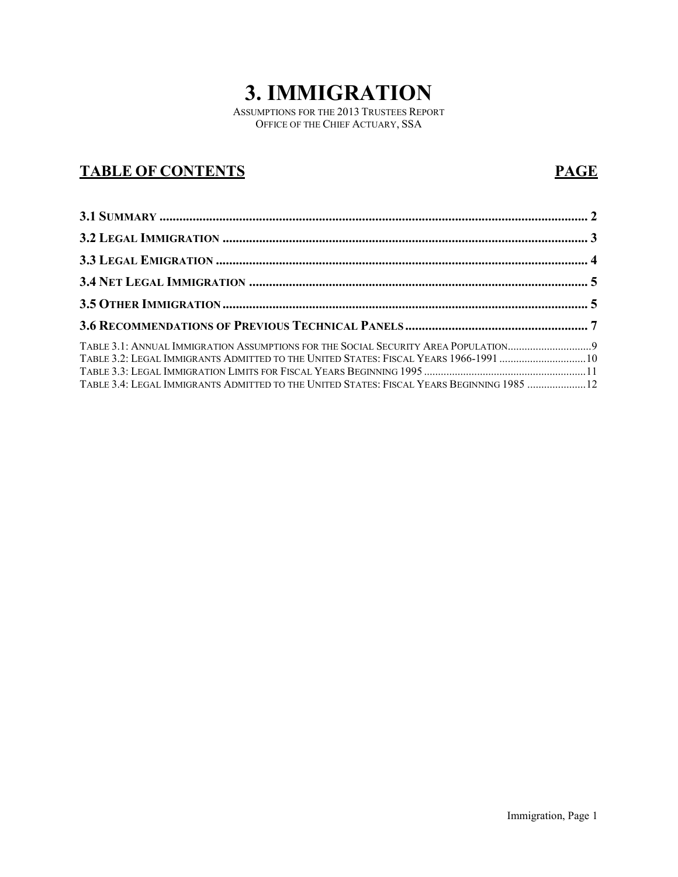# **3. IMMIGRATION**

ASSUMPTIONS FOR THE 2013 TRUSTEES REPORT OFFICE OF THE CHIEF ACTUARY, SSA

## **TABLE OF CONTENTS PAGE**

| TABLE 3.1: ANNUAL IMMIGRATION ASSUMPTIONS FOR THE SOCIAL SECURITY AREA POPULATION9        |  |
|-------------------------------------------------------------------------------------------|--|
| TABLE 3.2: LEGAL IMMIGRANTS ADMITTED TO THE UNITED STATES: FISCAL YEARS 1966-1991 10      |  |
|                                                                                           |  |
| TABLE 3.4: LEGAL IMMIGRANTS ADMITTED TO THE UNITED STATES: FISCAL YEARS BEGINNING 1985 12 |  |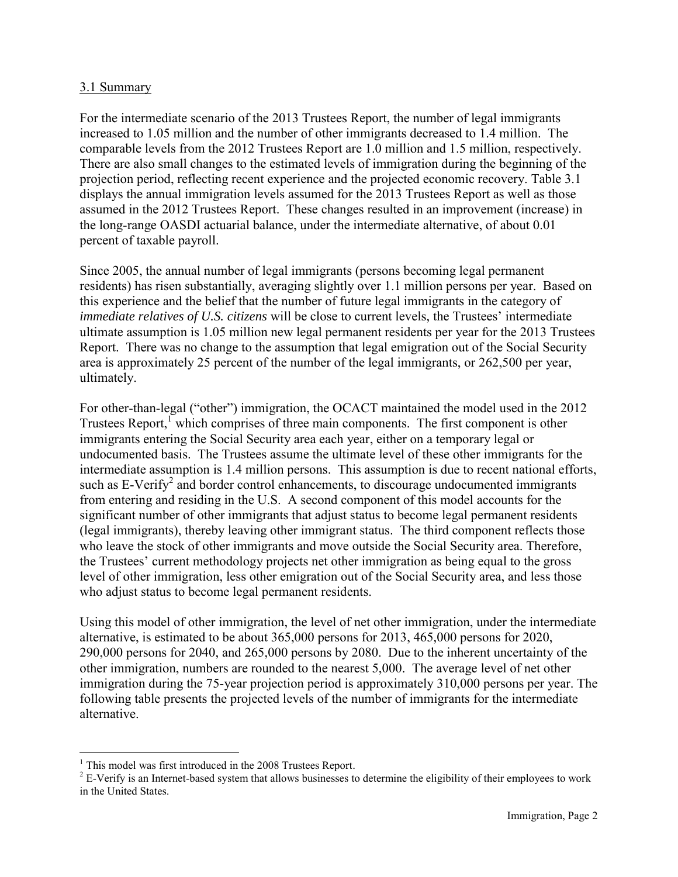#### <span id="page-31-0"></span>3.1 Summary

For the intermediate scenario of the 2013 Trustees Report, the number of legal immigrants increased to 1.05 million and the number of other immigrants decreased to 1.4 million. The comparable levels from the 2012 Trustees Report are 1.0 million and 1.5 million, respectively. There are also small changes to the estimated levels of immigration during the beginning of the projection period, reflecting recent experience and the projected economic recovery. Table 3.1 displays the annual immigration levels assumed for the 2013 Trustees Report as well as those assumed in the 2012 Trustees Report. These changes resulted in an improvement (increase) in the long-range OASDI actuarial balance, under the intermediate alternative, of about 0.01 percent of taxable payroll.

Since 2005, the annual number of legal immigrants (persons becoming legal permanent residents) has risen substantially, averaging slightly over 1.1 million persons per year. Based on this experience and the belief that the number of future legal immigrants in the category of *immediate relatives of U.S. citizens* will be close to current levels, the Trustees' intermediate ultimate assumption is 1.05 million new legal permanent residents per year for the 2013 Trustees Report. There was no change to the assumption that legal emigration out of the Social Security area is approximately 25 percent of the number of the legal immigrants, or 262,500 per year, ultimately.

For other-than-legal ("other") immigration, the OCACT maintained the model used in the 2012 Trustees Report, $<sup>1</sup>$  which comprises of three main components. The first component is other</sup> immigrants entering the Social Security area each year, either on a temporary legal or undocumented basis. The Trustees assume the ultimate level of these other immigrants for the intermediate assumption is 1.4 million persons. This assumption is due to recent national efforts, such as  $E$ -Verify<sup>2</sup> and border control enhancements, to discourage undocumented immigrants from entering and residing in the U.S. A second component of this model accounts for the significant number of other immigrants that adjust status to become legal permanent residents (legal immigrants), thereby leaving other immigrant status. The third component reflects those who leave the stock of other immigrants and move outside the Social Security area. Therefore, the Trustees' current methodology projects net other immigration as being equal to the gross level of other immigration, less other emigration out of the Social Security area, and less those who adjust status to become legal permanent residents.

Using this model of other immigration, the level of net other immigration, under the intermediate alternative, is estimated to be about 365,000 persons for 2013, 465,000 persons for 2020, 290,000 persons for 2040, and 265,000 persons by 2080. Due to the inherent uncertainty of the other immigration, numbers are rounded to the nearest 5,000. The average level of net other immigration during the 75-year projection period is approximately 310,000 persons per year. The following table presents the projected levels of the number of immigrants for the intermediate alternative.

 $\overline{a}$ <sup>1</sup> This model was first introduced in the 2008 Trustees Report.

 $2^{2}$  E-Verify is an Internet-based system that allows businesses to determine the eligibility of their employees to work in the United States.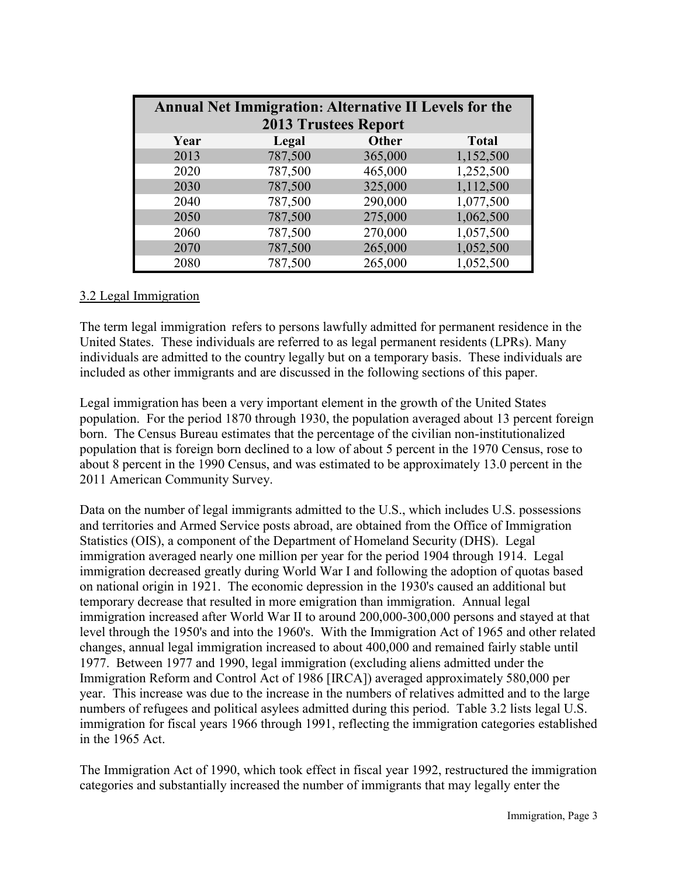|      | <b>Annual Net Immigration: Alternative II Levels for the</b> |              |              |
|------|--------------------------------------------------------------|--------------|--------------|
|      | <b>2013 Trustees Report</b>                                  |              |              |
| Year | Legal                                                        | <b>Other</b> | <b>Total</b> |
| 2013 | 787,500                                                      | 365,000      | 1,152,500    |
| 2020 | 787,500                                                      | 465,000      | 1,252,500    |
| 2030 | 787,500                                                      | 325,000      | 1,112,500    |
| 2040 | 787,500                                                      | 290,000      | 1,077,500    |
| 2050 | 787,500                                                      | 275,000      | 1,062,500    |
| 2060 | 787,500                                                      | 270,000      | 1,057,500    |
| 2070 | 787,500                                                      | 265,000      | 1,052,500    |
| 2080 | 787,500                                                      | 265,000      | 1,052,500    |

#### <span id="page-32-0"></span>3.2 Legal Immigration

The term legal immigration refers to persons lawfully admitted for permanent residence in the United States. These individuals are referred to as legal permanent residents (LPRs). Many individuals are admitted to the country legally but on a temporary basis. These individuals are included as other immigrants and are discussed in the following sections of this paper.

Legal immigration has been a very important element in the growth of the United States population. For the period 1870 through 1930, the population averaged about 13 percent foreign born. The Census Bureau estimates that the percentage of the civilian non-institutionalized population that is foreign born declined to a low of about 5 percent in the 1970 Census, rose to about 8 percent in the 1990 Census, and was estimated to be approximately 13.0 percent in the 2011 American Community Survey.

Data on the number of legal immigrants admitted to the U.S., which includes U.S. possessions and territories and Armed Service posts abroad, are obtained from the Office of Immigration Statistics (OIS), a component of the Department of Homeland Security (DHS). Legal immigration averaged nearly one million per year for the period 1904 through 1914. Legal immigration decreased greatly during World War I and following the adoption of quotas based on national origin in 1921. The economic depression in the 1930's caused an additional but temporary decrease that resulted in more emigration than immigration. Annual legal immigration increased after World War II to around 200,000-300,000 persons and stayed at that level through the 1950's and into the 1960's. With the Immigration Act of 1965 and other related changes, annual legal immigration increased to about 400,000 and remained fairly stable until 1977. Between 1977 and 1990, legal immigration (excluding aliens admitted under the Immigration Reform and Control Act of 1986 [IRCA]) averaged approximately 580,000 per year. This increase was due to the increase in the numbers of relatives admitted and to the large numbers of refugees and political asylees admitted during this period. Table 3.2 lists legal U.S. immigration for fiscal years 1966 through 1991, reflecting the immigration categories established in the 1965 Act.

The Immigration Act of 1990, which took effect in fiscal year 1992, restructured the immigration categories and substantially increased the number of immigrants that may legally enter the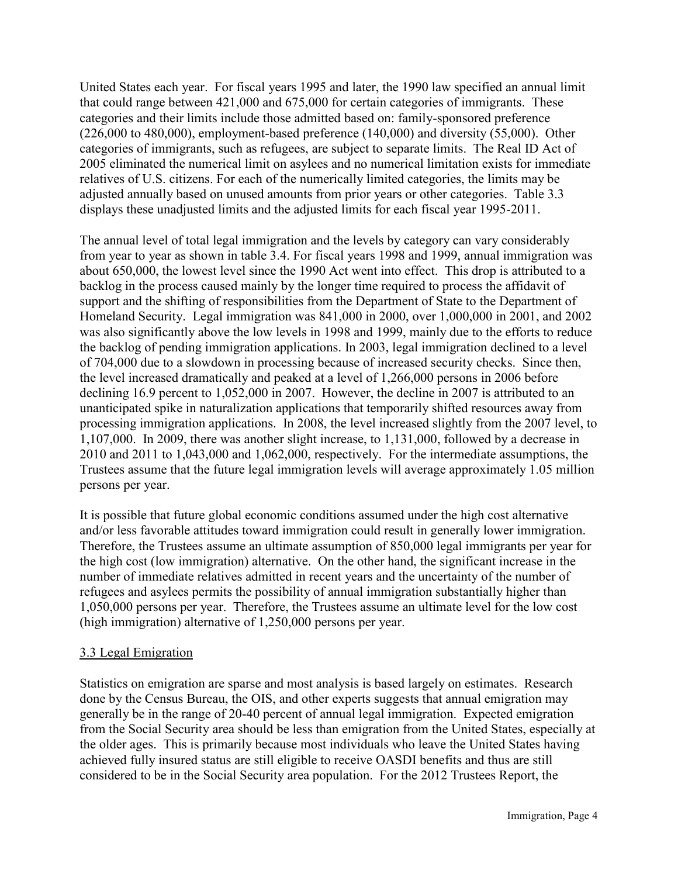United States each year. For fiscal years 1995 and later, the 1990 law specified an annual limit that could range between 421,000 and 675,000 for certain categories of immigrants. These categories and their limits include those admitted based on: family-sponsored preference (226,000 to 480,000), employment-based preference (140,000) and diversity (55,000). Other categories of immigrants, such as refugees, are subject to separate limits. The Real ID Act of 2005 eliminated the numerical limit on asylees and no numerical limitation exists for immediate relatives of U.S. citizens. For each of the numerically limited categories, the limits may be adjusted annually based on unused amounts from prior years or other categories. Table 3.3 displays these unadjusted limits and the adjusted limits for each fiscal year 1995-2011.

The annual level of total legal immigration and the levels by category can vary considerably from year to year as shown in table 3.4. For fiscal years 1998 and 1999, annual immigration was about 650,000, the lowest level since the 1990 Act went into effect. This drop is attributed to a backlog in the process caused mainly by the longer time required to process the affidavit of support and the shifting of responsibilities from the Department of State to the Department of Homeland Security. Legal immigration was 841,000 in 2000, over 1,000,000 in 2001, and 2002 was also significantly above the low levels in 1998 and 1999, mainly due to the efforts to reduce the backlog of pending immigration applications. In 2003, legal immigration declined to a level of 704,000 due to a slowdown in processing because of increased security checks. Since then, the level increased dramatically and peaked at a level of 1,266,000 persons in 2006 before declining 16.9 percent to 1,052,000 in 2007. However, the decline in 2007 is attributed to an unanticipated spike in naturalization applications that temporarily shifted resources away from processing immigration applications. In 2008, the level increased slightly from the 2007 level, to 1,107,000. In 2009, there was another slight increase, to 1,131,000, followed by a decrease in 2010 and 2011 to 1,043,000 and 1,062,000, respectively. For the intermediate assumptions, the Trustees assume that the future legal immigration levels will average approximately 1.05 million persons per year.

It is possible that future global economic conditions assumed under the high cost alternative and/or less favorable attitudes toward immigration could result in generally lower immigration. Therefore, the Trustees assume an ultimate assumption of 850,000 legal immigrants per year for the high cost (low immigration) alternative. On the other hand, the significant increase in the number of immediate relatives admitted in recent years and the uncertainty of the number of refugees and asylees permits the possibility of annual immigration substantially higher than 1,050,000 persons per year. Therefore, the Trustees assume an ultimate level for the low cost (high immigration) alternative of 1,250,000 persons per year.

#### <span id="page-33-0"></span>3.3 Legal Emigration

Statistics on emigration are sparse and most analysis is based largely on estimates. Research done by the Census Bureau, the OIS, and other experts suggests that annual emigration may generally be in the range of 20-40 percent of annual legal immigration. Expected emigration from the Social Security area should be less than emigration from the United States, especially at the older ages. This is primarily because most individuals who leave the United States having achieved fully insured status are still eligible to receive OASDI benefits and thus are still considered to be in the Social Security area population. For the 2012 Trustees Report, the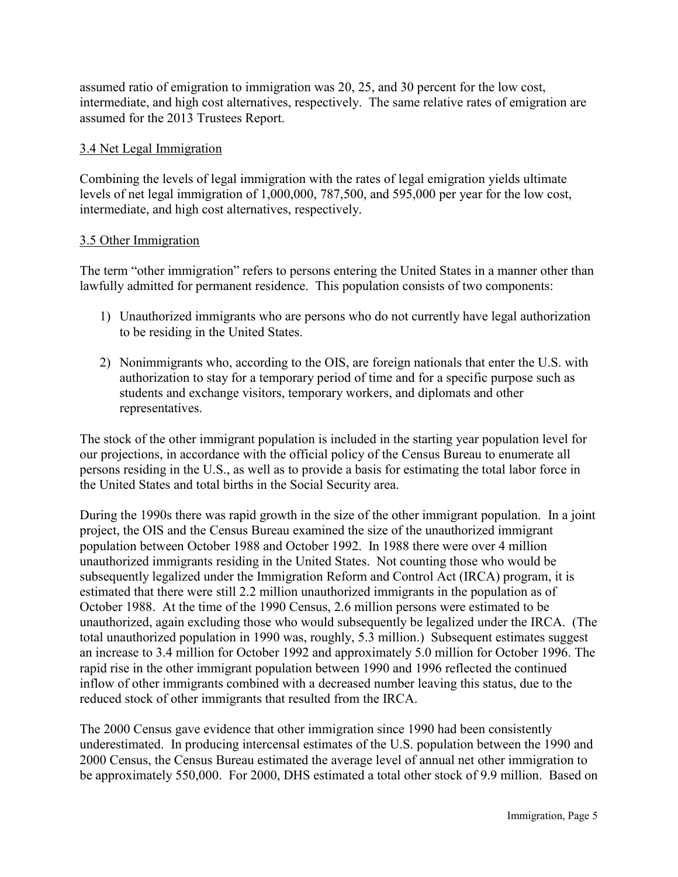assumed ratio of emigration to immigration was 20, 25, and 30 percent for the low cost, intermediate, and high cost alternatives, respectively. The same relative rates of emigration are assumed for the 2013 Trustees Report.

#### <span id="page-34-0"></span>3.4 Net Legal Immigration

Combining the levels of legal immigration with the rates of legal emigration yields ultimate levels of net legal immigration of 1,000,000, 787,500, and 595,000 per year for the low cost, intermediate, and high cost alternatives, respectively.

#### <span id="page-34-1"></span>3.5 Other Immigration

The term "other immigration" refers to persons entering the United States in a manner other than lawfully admitted for permanent residence. This population consists of two components:

- 1) Unauthorized immigrants who are persons who do not currently have legal authorization to be residing in the United States.
- 2) Nonimmigrants who, according to the OIS, are foreign nationals that enter the U.S. with authorization to stay for a temporary period of time and for a specific purpose such as students and exchange visitors, temporary workers, and diplomats and other representatives.

The stock of the other immigrant population is included in the starting year population level for our projections, in accordance with the official policy of the Census Bureau to enumerate all persons residing in the U.S., as well as to provide a basis for estimating the total labor force in the United States and total births in the Social Security area.

During the 1990s there was rapid growth in the size of the other immigrant population. In a joint project, the OIS and the Census Bureau examined the size of the unauthorized immigrant population between October 1988 and October 1992. In 1988 there were over 4 million unauthorized immigrants residing in the United States. Not counting those who would be subsequently legalized under the Immigration Reform and Control Act (IRCA) program, it is estimated that there were still 2.2 million unauthorized immigrants in the population as of October 1988. At the time of the 1990 Census, 2.6 million persons were estimated to be unauthorized, again excluding those who would subsequently be legalized under the IRCA. (The total unauthorized population in 1990 was, roughly, 5.3 million.) Subsequent estimates suggest an increase to 3.4 million for October 1992 and approximately 5.0 million for October 1996. The rapid rise in the other immigrant population between 1990 and 1996 reflected the continued inflow of other immigrants combined with a decreased number leaving this status, due to the reduced stock of other immigrants that resulted from the IRCA.

The 2000 Census gave evidence that other immigration since 1990 had been consistently underestimated. In producing intercensal estimates of the U.S. population between the 1990 and 2000 Census, the Census Bureau estimated the average level of annual net other immigration to be approximately 550,000. For 2000, DHS estimated a total other stock of 9.9 million. Based on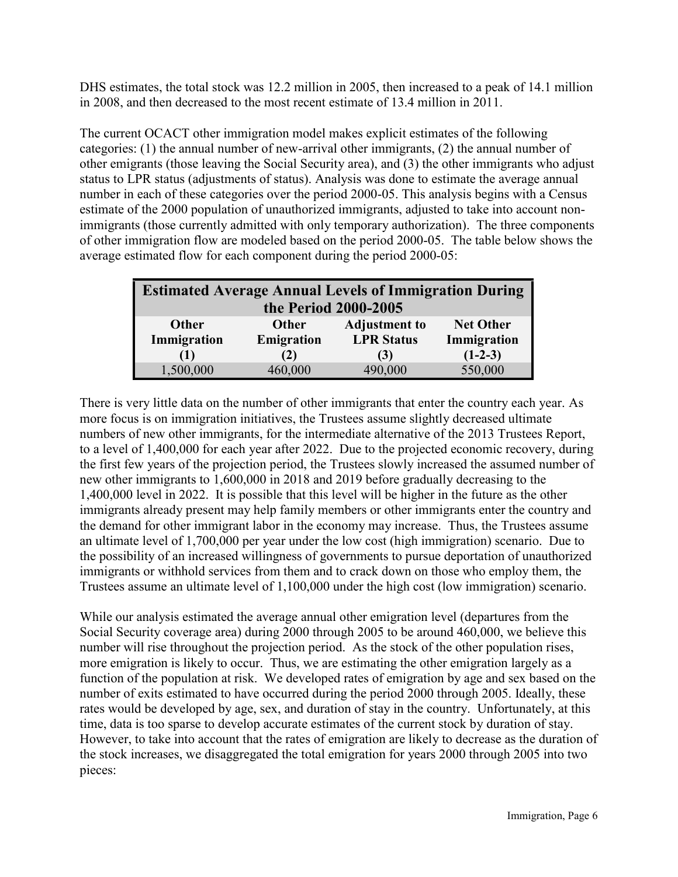DHS estimates, the total stock was 12.2 million in 2005, then increased to a peak of 14.1 million in 2008, and then decreased to the most recent estimate of 13.4 million in 2011.

The current OCACT other immigration model makes explicit estimates of the following categories: (1) the annual number of new-arrival other immigrants, (2) the annual number of other emigrants (those leaving the Social Security area), and (3) the other immigrants who adjust status to LPR status (adjustments of status). Analysis was done to estimate the average annual number in each of these categories over the period 2000-05. This analysis begins with a Census estimate of the 2000 population of unauthorized immigrants, adjusted to take into account nonimmigrants (those currently admitted with only temporary authorization). The three components of other immigration flow are modeled based on the period 2000-05. The table below shows the average estimated flow for each component during the period 2000-05:

|              | <b>Estimated Average Annual Levels of Immigration During</b> |                      |                  |  |  |  |  |  |  |  |  |
|--------------|--------------------------------------------------------------|----------------------|------------------|--|--|--|--|--|--|--|--|
|              | the Period 2000-2005                                         |                      |                  |  |  |  |  |  |  |  |  |
| <b>Other</b> | <b>Other</b>                                                 | <b>Adjustment to</b> | <b>Net Other</b> |  |  |  |  |  |  |  |  |
| Immigration  | Emigration                                                   | <b>LPR Status</b>    | Immigration      |  |  |  |  |  |  |  |  |
| (1)          | (2)                                                          | (3)                  | $(1-2-3)$        |  |  |  |  |  |  |  |  |
| 1,500,000    | 460,000                                                      | 490,000              | 550,000          |  |  |  |  |  |  |  |  |

There is very little data on the number of other immigrants that enter the country each year. As more focus is on immigration initiatives, the Trustees assume slightly decreased ultimate numbers of new other immigrants, for the intermediate alternative of the 2013 Trustees Report, to a level of 1,400,000 for each year after 2022. Due to the projected economic recovery, during the first few years of the projection period, the Trustees slowly increased the assumed number of new other immigrants to 1,600,000 in 2018 and 2019 before gradually decreasing to the 1,400,000 level in 2022. It is possible that this level will be higher in the future as the other immigrants already present may help family members or other immigrants enter the country and the demand for other immigrant labor in the economy may increase. Thus, the Trustees assume an ultimate level of 1,700,000 per year under the low cost (high immigration) scenario. Due to the possibility of an increased willingness of governments to pursue deportation of unauthorized immigrants or withhold services from them and to crack down on those who employ them, the Trustees assume an ultimate level of 1,100,000 under the high cost (low immigration) scenario.

While our analysis estimated the average annual other emigration level (departures from the Social Security coverage area) during 2000 through 2005 to be around 460,000, we believe this number will rise throughout the projection period. As the stock of the other population rises, more emigration is likely to occur. Thus, we are estimating the other emigration largely as a function of the population at risk. We developed rates of emigration by age and sex based on the number of exits estimated to have occurred during the period 2000 through 2005. Ideally, these rates would be developed by age, sex, and duration of stay in the country. Unfortunately, at this time, data is too sparse to develop accurate estimates of the current stock by duration of stay. However, to take into account that the rates of emigration are likely to decrease as the duration of the stock increases, we disaggregated the total emigration for years 2000 through 2005 into two pieces: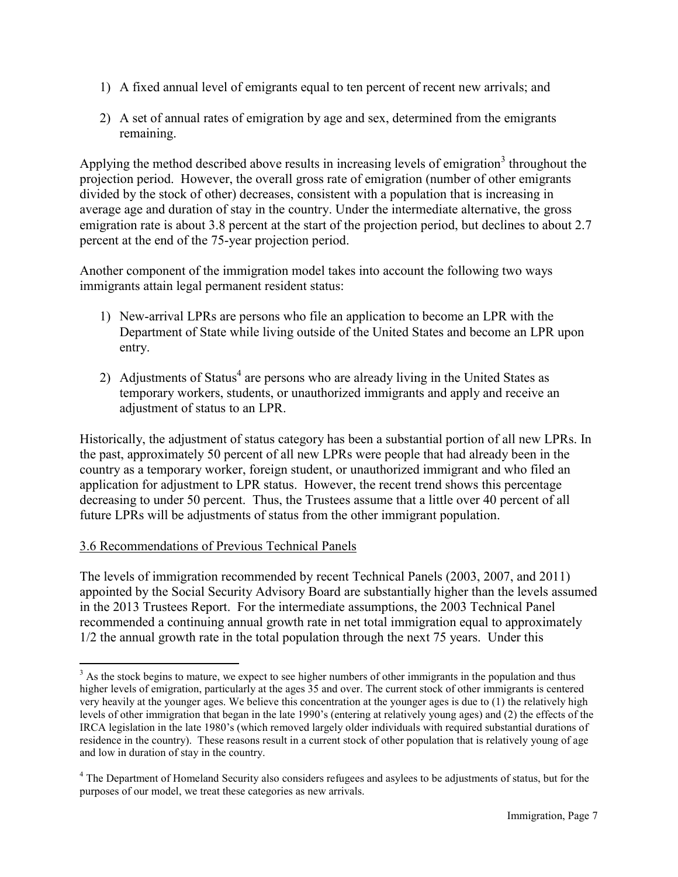- 1) A fixed annual level of emigrants equal to ten percent of recent new arrivals; and
- 2) A set of annual rates of emigration by age and sex, determined from the emigrants remaining.

Applying the method described above results in increasing levels of emigration<sup>3</sup> throughout the projection period. However, the overall gross rate of emigration (number of other emigrants divided by the stock of other) decreases, consistent with a population that is increasing in average age and duration of stay in the country. Under the intermediate alternative, the gross emigration rate is about 3.8 percent at the start of the projection period, but declines to about 2.7 percent at the end of the 75-year projection period.

Another component of the immigration model takes into account the following two ways immigrants attain legal permanent resident status:

- 1) New-arrival LPRs are persons who file an application to become an LPR with the Department of State while living outside of the United States and become an LPR upon entry.
- 2) Adjustments of Status<sup>4</sup> are persons who are already living in the United States as temporary workers, students, or unauthorized immigrants and apply and receive an adjustment of status to an LPR.

Historically, the adjustment of status category has been a substantial portion of all new LPRs. In the past, approximately 50 percent of all new LPRs were people that had already been in the country as a temporary worker, foreign student, or unauthorized immigrant and who filed an application for adjustment to LPR status. However, the recent trend shows this percentage decreasing to under 50 percent. Thus, the Trustees assume that a little over 40 percent of all future LPRs will be adjustments of status from the other immigrant population.

#### <span id="page-36-0"></span>3.6 Recommendations of Previous Technical Panels

The levels of immigration recommended by recent Technical Panels (2003, 2007, and 2011) appointed by the Social Security Advisory Board are substantially higher than the levels assumed in the 2013 Trustees Report. For the intermediate assumptions, the 2003 Technical Panel recommended a continuing annual growth rate in net total immigration equal to approximately 1/2 the annual growth rate in the total population through the next 75 years. Under this

 $\overline{a}$  $3$  As the stock begins to mature, we expect to see higher numbers of other immigrants in the population and thus higher levels of emigration, particularly at the ages 35 and over. The current stock of other immigrants is centered very heavily at the younger ages. We believe this concentration at the younger ages is due to (1) the relatively high levels of other immigration that began in the late 1990's (entering at relatively young ages) and (2) the effects of the IRCA legislation in the late 1980's (which removed largely older individuals with required substantial durations of residence in the country). These reasons result in a current stock of other population that is relatively young of age and low in duration of stay in the country.

<sup>&</sup>lt;sup>4</sup> The Department of Homeland Security also considers refugees and asylees to be adjustments of status, but for the purposes of our model, we treat these categories as new arrivals.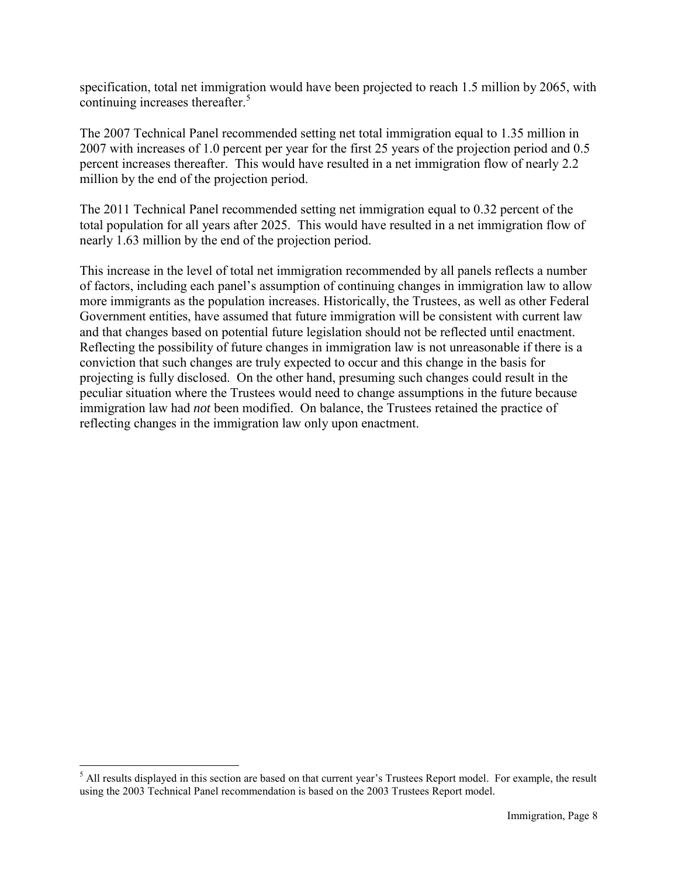specification, total net immigration would have been projected to reach 1.5 million by 2065, with continuing increases thereafter.<sup>5</sup>

The 2007 Technical Panel recommended setting net total immigration equal to 1.35 million in 2007 with increases of 1.0 percent per year for the first 25 years of the projection period and 0.5 percent increases thereafter. This would have resulted in a net immigration flow of nearly 2.2 million by the end of the projection period.

The 2011 Technical Panel recommended setting net immigration equal to 0.32 percent of the total population for all years after 2025. This would have resulted in a net immigration flow of nearly 1.63 million by the end of the projection period.

This increase in the level of total net immigration recommended by all panels reflects a number of factors, including each panel's assumption of continuing changes in immigration law to allow more immigrants as the population increases. Historically, the Trustees, as well as other Federal Government entities, have assumed that future immigration will be consistent with current law and that changes based on potential future legislation should not be reflected until enactment. Reflecting the possibility of future changes in immigration law is not unreasonable if there is a conviction that such changes are truly expected to occur and this change in the basis for projecting is fully disclosed. On the other hand, presuming such changes could result in the peculiar situation where the Trustees would need to change assumptions in the future because immigration law had *not* been modified. On balance, the Trustees retained the practice of reflecting changes in the immigration law only upon enactment.

<sup>&</sup>lt;sup>5</sup> All results displayed in this section are based on that current year's Trustees Report model. For example, the result using the 2003 Technical Panel recommendation is based on the 2003 Trustees Report model.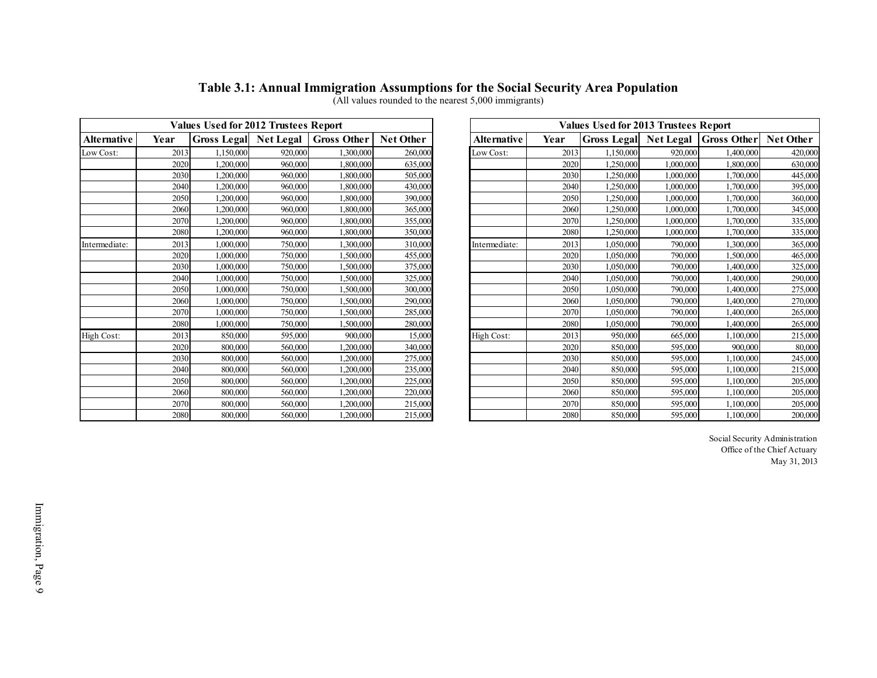#### **Table 3.1: Annual Immigration Assumptions for the Social Security Area Population**

|                    |      | <b>Values Used for 2012 Trustees Report</b> |         |                    |                  | Table 3.1: Annual Immigration Assumptions for the Social Security Area Population<br>(All values rounded to the nearest 5,000 immigrants)<br><b>Values Used for 2013 Trustees Report</b> |      |           |           |                                   |                  |  |  |  |
|--------------------|------|---------------------------------------------|---------|--------------------|------------------|------------------------------------------------------------------------------------------------------------------------------------------------------------------------------------------|------|-----------|-----------|-----------------------------------|------------------|--|--|--|
| <b>Alternative</b> | Year | <b>Gross Legal Net Legal</b>                |         | <b>Gross Other</b> | <b>Net Other</b> | <b>Alternative</b>                                                                                                                                                                       | Year |           |           | Gross Legal Net Legal Gross Other | <b>Net Other</b> |  |  |  |
| Low Cost:          | 2013 | 1.150.000                                   | 920,000 | 1,300,000          | 260,000          | Low Cost:                                                                                                                                                                                | 2013 | 1,150,000 | 920,000   | 1,400,000                         | 420,000          |  |  |  |
|                    | 2020 | 1.200.000                                   | 960,000 | 1,800,000          | 635,000          |                                                                                                                                                                                          | 2020 | 1,250,000 | 1,000,000 | 1,800,000                         | 630,000          |  |  |  |
|                    | 2030 | 1,200,000                                   | 960,000 | 1,800,000          | 505,000          |                                                                                                                                                                                          | 2030 | 1,250,000 | 1,000,000 | 1,700,000                         | 445,000          |  |  |  |
|                    | 2040 | 1,200,000                                   | 960,000 | 1.800,000          | 430,000          |                                                                                                                                                                                          | 2040 | 1.250,000 | 1.000.000 | 1.700,000                         | 395,000          |  |  |  |
|                    | 2050 | 1.200.000                                   | 960,000 | 1,800,000          | 390,000          |                                                                                                                                                                                          | 2050 | 1,250,000 | 1,000,000 | 1,700,000                         | 360,000          |  |  |  |
|                    | 2060 | 1.200.000                                   | 960,000 | 1,800,000          | 365,00           |                                                                                                                                                                                          | 2060 | 1,250,000 | 1,000,000 | 1,700,000                         | 345,000          |  |  |  |
|                    | 2070 | 1.200.000                                   | 960,000 | 1,800,000          | 355,000          |                                                                                                                                                                                          | 2070 | 1,250,000 | 1,000,000 | 1,700,000                         | 335,000          |  |  |  |
|                    | 2080 | 1.200.000                                   | 960,000 | 1.800,000          | 350,000          |                                                                                                                                                                                          | 2080 | 1,250,000 | 1.000.000 | 1.700.000                         | 335,000          |  |  |  |
| Intermediate:      | 2013 | 1.000.000                                   | 750,000 | 1,300,000          | 310,000          | Intermediate:                                                                                                                                                                            | 2013 | 1.050.000 | 790,000   | 1,300,000                         | 365,000          |  |  |  |
|                    | 2020 | 1.000.000                                   | 750,000 | 1,500,000          | 455,000          |                                                                                                                                                                                          | 2020 | 1,050,000 | 790,000   | 1,500,000                         | 465,000          |  |  |  |
|                    | 2030 | 1.000.000                                   | 750,000 | 1,500,000          | 375,000          |                                                                                                                                                                                          | 2030 | 1,050,000 | 790,000   | 1,400,000                         | 325,000          |  |  |  |
|                    | 2040 | 1.000.000                                   | 750,000 | 1,500,000          | 325,00           |                                                                                                                                                                                          | 2040 | 1,050,000 | 790,000   | 1,400,000                         | 290,000          |  |  |  |
|                    | 2050 | 1.000.000                                   | 750,000 | 1,500,000          | 300,000          |                                                                                                                                                                                          | 2050 | 1.050.000 | 790,000   | 1,400,000                         | 275,000          |  |  |  |
|                    | 2060 | 1.000.000                                   | 750,000 | 1,500,000          | 290,000          |                                                                                                                                                                                          | 2060 | 1.050.000 | 790,000   | 1,400,000                         | 270,000          |  |  |  |
|                    | 2070 | 1.000.000                                   | 750,000 | 1,500,000          | 285,000          |                                                                                                                                                                                          | 2070 | 1,050,000 | 790,000   | 1,400,000                         | 265,000          |  |  |  |
|                    | 2080 | 1,000,000                                   | 750,000 | 1,500,000          | 280,00           |                                                                                                                                                                                          | 2080 | 1,050,000 | 790,000   | 1,400,000                         | 265,000          |  |  |  |
| High Cost:         | 2013 | 850,000                                     | 595,000 | 900,000            | 15,000           | High Cost:                                                                                                                                                                               | 2013 | 950,000   | 665,000   | 1,100,000                         | 215,000          |  |  |  |
|                    | 2020 | 800,000                                     | 560,000 | 1,200,000          | 340,000          |                                                                                                                                                                                          | 2020 | 850,000   | 595,000   | 900,000                           | 80,000           |  |  |  |
|                    | 2030 | 800,000                                     | 560,000 | 1,200,000          | 275,000          |                                                                                                                                                                                          | 2030 | 850,000   | 595,000   | 1,100,000                         | 245,000          |  |  |  |
|                    | 2040 | 800,000                                     | 560,000 | 1,200,000          | 235,000          |                                                                                                                                                                                          | 2040 | 850,000   | 595,000   | 1,100,000                         | 215,000          |  |  |  |
|                    | 2050 | 800,000                                     | 560,000 | 1,200,000          | 225,000          |                                                                                                                                                                                          | 2050 | 850,000   | 595,000   | 1,100,000                         | 205,000          |  |  |  |
|                    | 2060 | 800,000                                     | 560,000 | 1,200,000          | 220,000          |                                                                                                                                                                                          | 2060 | 850,000   | 595,000   | 1,100,000                         | 205,000          |  |  |  |
|                    | 2070 | 800,000                                     | 560,000 | 1,200,000          | 215,000          |                                                                                                                                                                                          | 2070 | 850,000   | 595,000   | 1,100,000                         | 205,000          |  |  |  |
|                    | 2080 | 800,000                                     | 560,000 | 1.200.000          | 215,000          |                                                                                                                                                                                          | 2080 | 850,000   | 595,000   | 1.100.000                         | 200,000          |  |  |  |

<span id="page-38-0"></span>

|                  |                    |           | <b>Values Used for 2013 Trustees Report</b> |      |                    | <b>Values Used for 2012 Trustees Report</b> |                    |         |                              |      |                    |  |
|------------------|--------------------|-----------|---------------------------------------------|------|--------------------|---------------------------------------------|--------------------|---------|------------------------------|------|--------------------|--|
| <b>Net Other</b> | <b>Gross Other</b> |           | Gross Legal Net Legal                       | Year | <b>Alternative</b> | Net Other                                   | <b>Gross Other</b> |         | <b>Gross Legal</b> Net Legal | Year | <b>Alternative</b> |  |
| 420,000          | 1.400.000          | 920,000   | 1,150,000                                   | 2013 | Low Cost:          | 260,000                                     | 1,300,000          | 920,000 | .150,000                     | 2013 | Low Cost:          |  |
| 630,000          | 1,800,000          | 1,000,000 | ,250,000                                    | 2020 |                    | 635,000                                     | 1,800,000          | 960,000 | 1,200,000                    | 2020 |                    |  |
| 445,000          | 1,700,000          | 1,000,000 | ,250,000                                    | 2030 |                    | 505,000                                     | 1,800,000          | 960,000 | 1,200,000                    | 2030 |                    |  |
| 395,000          | 1,700,000          | 1,000,000 | .250,000                                    | 2040 |                    | 430,000                                     | 1,800,000          | 960,000 | 1,200,000                    | 2040 |                    |  |
| 360,000          | 1,700,000          | 1,000,000 | ,250,000                                    | 2050 |                    | 390,000                                     | 1,800,000          | 960,000 | 1,200,000                    | 2050 |                    |  |
| 345,000          | 1,700,000          | 1,000,000 | ,250,000                                    | 2060 |                    | 365,000                                     | 1,800,000          | 960,000 | 1,200,000                    | 2060 |                    |  |
| 335,000          | 1,700,000          | 1,000,000 | .250.000                                    | 2070 |                    | 355,000                                     | 1,800,000          | 960,000 | .200.000                     | 2070 |                    |  |
| 335,000          | 1,700,000          | 1,000,000 | ,250,000                                    | 2080 |                    | 350,000                                     | 1,800,000          | 960,000 | 1,200,000                    | 2080 |                    |  |
| 365,000          | 1,300,000          | 790,000   | 1.050.000                                   | 2013 | Intermediate:      | 310,000                                     | 1,300,000          | 750,000 | 1.000.000                    | 2013 | Intermediate:      |  |
| 465,000          | 1,500,000          | 790,000   | 1,050,000                                   | 2020 |                    | 455,000                                     | 1,500,000          | 750,000 | 1,000,000                    | 2020 |                    |  |
| 325,000          | 1,400,000          | 790,000   | 1,050,000                                   | 2030 |                    | 375,000                                     | 1,500,000          | 750,000 | 1,000,000                    | 2030 |                    |  |
| 290,000          | 1,400,000          | 790,000   | 1,050,000                                   | 2040 |                    | 325,000                                     | 1,500,000          | 750,000 | 1,000,000                    | 2040 |                    |  |
| 275,000          | 1,400,000          | 790,000   | 1,050,000                                   | 2050 |                    | 300,000                                     | 1,500,000          | 750,000 | 1,000,000                    | 2050 |                    |  |
| 270,000          | 1,400,000          | 790,000   | 1,050,000                                   | 2060 |                    | 290,000                                     | 1,500,000          | 750,000 | 1,000,000                    | 2060 |                    |  |
| 265,000          | 1,400,000          | 790,000   | 1,050,000                                   | 2070 |                    | 285,000                                     | 1,500,000          | 750,000 | 000,000                      | 2070 |                    |  |
| 265,000          | 1,400,000          | 790,000   | 1,050,000                                   | 2080 |                    | 280,000                                     | 1,500,000          | 750,000 | 1,000,000                    | 2080 |                    |  |
| 215,000          | 1.100.000          | 665,000   | 950,000                                     | 2013 | High Cost:         | 15,000                                      | 900,000            | 595,000 | 850,000                      | 2013 | High Cost:         |  |
| 80,000           | 900,000            | 595,000   | 850,000                                     | 2020 |                    | 340,000                                     | 1,200,000          | 560,000 | 800,000                      | 2020 |                    |  |
| 245,000          | 1,100,000          | 595,000   | 850,000                                     | 2030 |                    | 275,000                                     | 1,200,000          | 560,000 | 800,000                      | 2030 |                    |  |
| 215,000          | 1,100,000          | 595,000   | 850,000                                     | 2040 |                    | 235,000                                     | 1,200,000          | 560,000 | 800,000                      | 2040 |                    |  |
| 205,000          | 1,100,000          | 595,000   | 850,000                                     | 2050 |                    | 225,000                                     | 1,200,000          | 560,000 | 800,000                      | 2050 |                    |  |
| 205,000          | 1,100,000          | 595,000   | 850,000                                     | 2060 |                    | 220,000                                     | 1,200,000          | 560,000 | 800,000                      | 2060 |                    |  |
| 205,000          | 1,100,000          | 595,000   | 850,000                                     | 2070 |                    | 215,000                                     | 1,200,000          | 560,000 | 800,000                      | 2070 |                    |  |
| 200,000          | 1,100,000          | 595,000   | 850,000                                     | 2080 |                    | 215,000                                     | 1,200,000          | 560,000 | 800,000                      | 2080 |                    |  |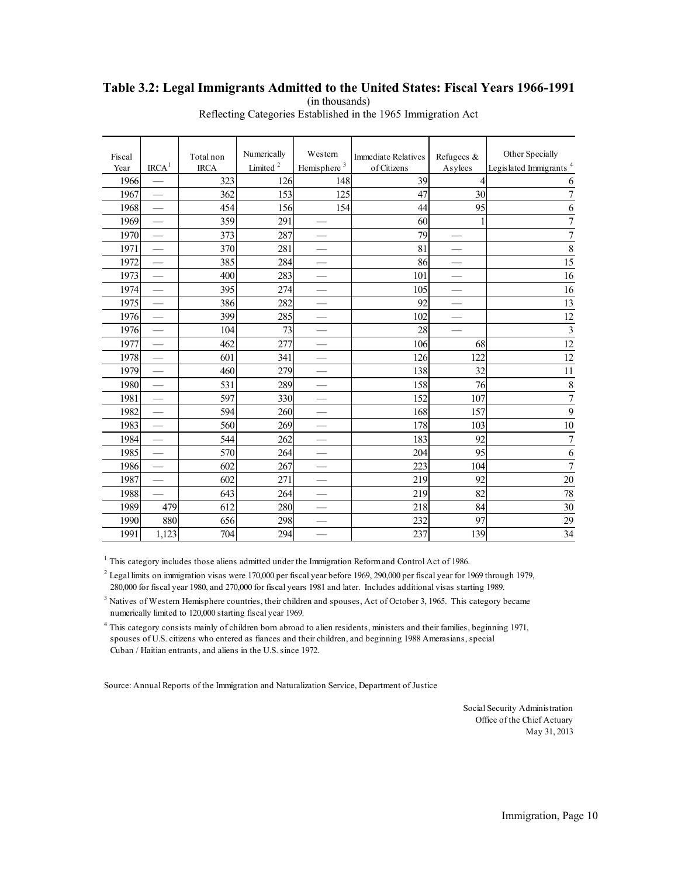#### <span id="page-39-0"></span>**Table 3.2: Legal Immigrants Admitted to the United States: Fiscal Years 1966-1991**  (in thousands)

| Fiscal<br>Year | IRCA <sup>1</sup>        | Total non<br><b>IRCA</b> | Numerically<br>Limited <sup>2</sup> | Western<br>Hemisphere <sup>3</sup> | <b>Immediate Relatives</b><br>of Citizens | Refugees &<br>Asylees    | Other Specially<br>Legislated Immigrants <sup>4</sup> |
|----------------|--------------------------|--------------------------|-------------------------------------|------------------------------------|-------------------------------------------|--------------------------|-------------------------------------------------------|
| 1966           |                          | 323                      | 126                                 | 148                                | 39                                        | $\overline{4}$           | 6                                                     |
| 1967           |                          | 362                      | 153                                 | 125                                | 47                                        | 30                       | $\sqrt{ }$                                            |
| 1968           |                          | 454                      | 156                                 | 154                                | 44                                        | 95                       | 6                                                     |
| 1969           |                          | 359                      | 291                                 | $\overline{\phantom{0}}$           | 60                                        | 1                        | $\boldsymbol{7}$                                      |
| 1970           |                          | 373                      | 287                                 |                                    | 79                                        |                          | $\overline{7}$                                        |
| 1971           |                          | 370                      | 281                                 |                                    | 81                                        |                          | 8                                                     |
| 1972           |                          | 385                      | 284                                 |                                    | 86                                        |                          | $\overline{15}$                                       |
| 1973           |                          | 400                      | 283                                 |                                    | 101                                       |                          | 16                                                    |
| 1974           |                          | 395                      | 274                                 |                                    | 105                                       |                          | 16                                                    |
| 1975           |                          | 386                      | 282                                 |                                    | 92                                        |                          | 13                                                    |
| 1976           |                          | 399                      | 285                                 |                                    | 102                                       |                          | $12\,$                                                |
| 1976           |                          | 104                      | 73                                  |                                    | 28                                        | $\overline{\phantom{0}}$ | $\overline{\mathbf{3}}$                               |
| 1977           |                          | 462                      | 277                                 |                                    | 106                                       | 68                       | 12                                                    |
| 1978           |                          | 601                      | 341                                 |                                    | 126                                       | 122                      | $\overline{12}$                                       |
| 1979           |                          | 460                      | 279                                 |                                    | 138                                       | 32                       | 11                                                    |
| 1980           |                          | 531                      | 289                                 |                                    | 158                                       | 76                       | $\,$ $\,$                                             |
| 1981           |                          | 597                      | 330                                 |                                    | 152                                       | 107                      | $\overline{7}$                                        |
| 1982           |                          | 594                      | 260                                 |                                    | 168                                       | 157                      | 9                                                     |
| 1983           |                          | 560                      | 269                                 | $\qquad \qquad \longleftarrow$     | 178                                       | 103                      | $\overline{10}$                                       |
| 1984           |                          | 544                      | 262                                 |                                    | 183                                       | 92                       | $\overline{7}$                                        |
| 1985           |                          | 570                      | 264                                 |                                    | 204                                       | 95                       | 6                                                     |
| 1986           |                          | 602                      | 267                                 |                                    | 223                                       | 104                      | $\overline{7}$                                        |
| 1987           |                          | 602                      | 271                                 |                                    | 219                                       | 92                       | $20\,$                                                |
| 1988           | $\overline{\phantom{0}}$ | 643                      | 264                                 |                                    | 219                                       | 82                       | 78                                                    |
| 1989           | 479                      | 612                      | 280                                 |                                    | 218                                       | 84                       | 30                                                    |
| 1990           | 880                      | 656                      | 298                                 |                                    | 232                                       | 97                       | 29                                                    |
| 1991           | 1.123                    | 704                      | 294                                 |                                    | 237                                       | 139                      | 34                                                    |
|                |                          |                          |                                     |                                    |                                           |                          |                                                       |

Reflecting Categories Established in the 1965 Immigration Act

<sup>1</sup> This category includes those aliens admitted under the Immigration Reform and Control Act of 1986.

 $2$  Legal limits on immigration visas were 170,000 per fiscal year before 1969, 290,000 per fiscal year for 1969 through 1979, 280,000 for fiscal year 1980, and 270,000 for fiscal years 1981 and later. Includes additional visas starting 1989.

<sup>3</sup> Natives of Western Hemisphere countries, their children and spouses, Act of October 3, 1965. This category became numerically limited to 120,000 starting fiscal year 1969.

4 This category consists mainly of children born abroad to alien residents, ministers and their families, beginning 1971, spouses of U.S. citizens who entered as fiances and their children, and beginning 1988 Amerasians, special Cuban / Haitian entrants, and aliens in the U.S. since 1972.

Source: Annual Reports of the Immigration and Naturalization Service, Department of Justice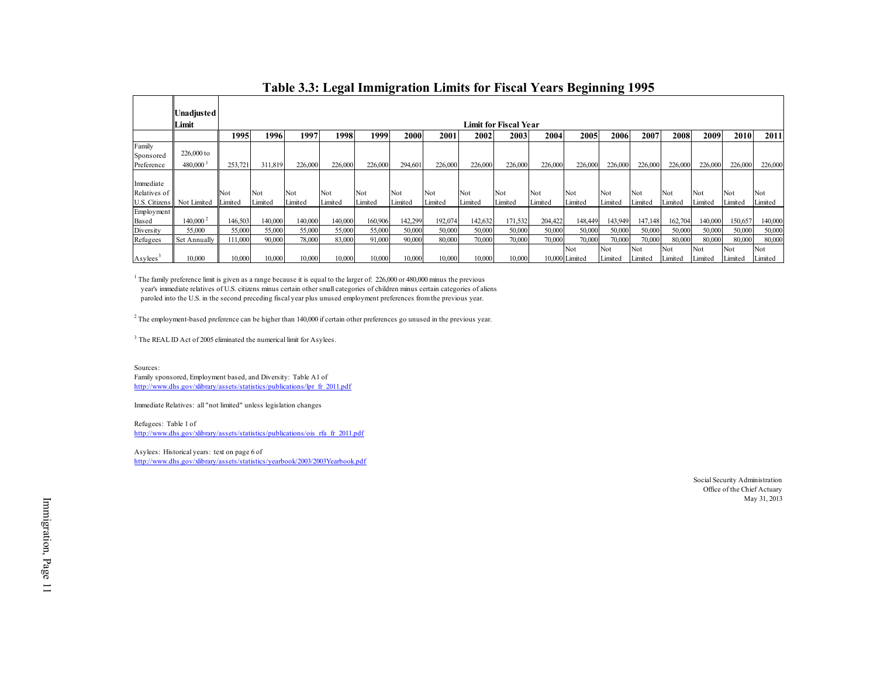|                       |                       |         |         |         |         |         |         |         |         |                       | Table 3.3: Legal Immigration Limits for Fiscal Years Beginning 1995 |                |         |         |         |         |         |         |
|-----------------------|-----------------------|---------|---------|---------|---------|---------|---------|---------|---------|-----------------------|---------------------------------------------------------------------|----------------|---------|---------|---------|---------|---------|---------|
|                       |                       |         |         |         |         |         |         |         |         |                       |                                                                     |                |         |         |         |         |         |         |
|                       | Unadjusted            |         |         |         |         |         |         |         |         |                       |                                                                     |                |         |         |         |         |         |         |
|                       | Limit                 |         |         |         |         |         |         |         |         | Limit for Fiscal Year |                                                                     |                |         |         |         |         |         |         |
|                       |                       | 1995    | 1996    | 1997    | 1998    | 1999    | 2000    | 2001    | 2002    | 2003                  | 2004                                                                | 2005           | 2006    | 2007    | 2008    | 2009    | 2010    | 2011    |
| Family<br>Sponsored   | 226,000 to            |         |         |         |         |         |         |         |         |                       |                                                                     |                |         |         |         |         |         |         |
| Preference            | $480,000^{\text{-}1}$ | 253,721 | 311,819 | 226,000 | 226,000 | 226,000 | 294,601 | 226,000 | 226,000 | 226,000               | 226,000                                                             | 226,000        | 226,000 | 226,000 | 226,000 | 226,000 | 226,000 | 226,000 |
| Immediate             |                       |         |         |         |         |         |         |         |         |                       |                                                                     |                |         |         |         |         |         |         |
| Relatives of          |                       | Not     | Not     | Not     | Not     | Not     | Not     | Not     | Not     | Not                   | Not                                                                 | Not            | Not     | Not     | Not     | Not     | Not     | Not     |
| U.S. Citizens         | Not Limited           | Limited | Limited | Limited | Limited | Limited | Limited | Limited | Limited | Limited               | Limited                                                             | Limited        | Limited | Limited | Limited | Limited | Limited | Limited |
| Employment<br>Based   | $140,000^2$           | 146,503 | 140,000 | 140,000 | 140,000 | 160,906 | 142,299 | 192,074 | 142,632 | 171,532               | 204,422                                                             | 148,449        | 143,949 | 147,148 | 162,704 | 140,000 | 150,657 | 140,000 |
| Diversity             | 55,000                | 55,000  | 55,000  | 55,000  | 55,000  | 55,000  | 50,000  | 50,000  | 50,000  | 50,000                | 50,000                                                              | 50,000         | 50,000  | 50,000  | 50,000  | 50,000  | 50,000  | 50,000  |
| Refugees              | Set Annually          | 111,000 | 90,000  | 78,000  | 83,000  | 91,000  | 90,000  | 80,000  | 70,000  | 70,000                | 70,000                                                              | 70,000         | 70,000  | 70,000  | 80,000  | 80,000  | 80,000  | 80,000  |
|                       |                       |         |         |         |         |         |         |         |         |                       |                                                                     | Not            | Not     | Not     | Not     | Not     | Not     | Not     |
| Asylees $\frac{3}{2}$ | 10,000                | 10,000  | 10,000  | 10,000  | 10,000  | 10,000  | 10,000  | 10,000  | 10,000  | 10.000                |                                                                     | 10,000 Limited | Limited | Limited | Limited | Limited | Limited | Limited |

#### **Table 3.3: Legal Immigration Limits for Fiscal Years Beginning 1995**

<span id="page-40-0"></span> year's immediate relatives of U.S. citizens minus certain other small categories of children minus certain categories of aliens paroled into the U.S. in the second preceding fiscal year plus unused employment preferences from the previous year. <sup>1</sup> The family preference limit is given as a range because it is equal to the larger of: 226,000 or 480,000 minus the previous year's immediate relatives of U.S. citizens minus certain other small categories of children

<sup>3</sup> The REAL ID Act of 2005 eliminated the numerical limit for Asylees.

Sources: Family sponsored, Employment based, and Diversity: Table A1 of http://www.dhs.gov/xlibrary/assets/statistics/publications/lpr\_fr\_2011.pdf

Immediate Relatives: all "not limited" unless legislation changes

Refugees: Table 1 of http://www.dhs.gov/xlibrary/assets/statistics/publications/ois\_rfa\_fr\_2011.pdf

Asylees: Historical years: text on page 6 of http://www.dhs.gov/xlibrary/assets/statistics/yearbook/2003/2003Yearbook.pdf